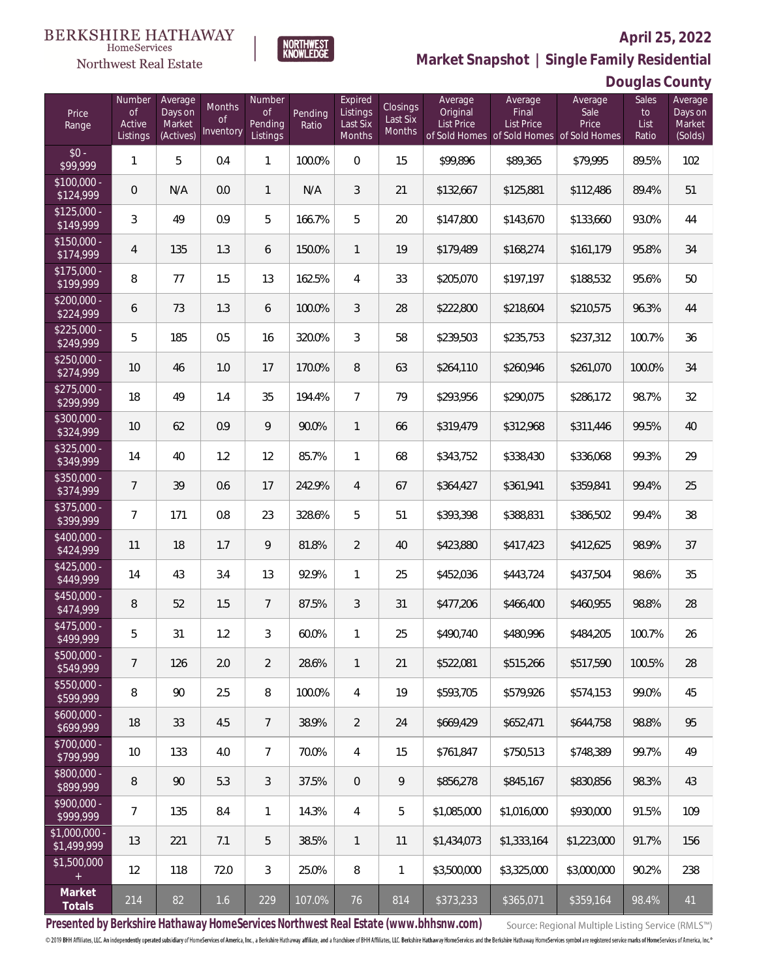

 $\label{lem:sevices} \textsc{Home} \textsc{Service} \textsc{s}$ 

**Market Snapshot | Single Family Residential**

# **Douglas County**

| Price<br>Range                    | Number<br><b>of</b><br>Active<br>Listings | Average<br>Days on<br>Market<br>(Actives) | Months<br><b>of</b><br>Inventory | Number<br><b>of</b><br>Pending<br>Listings | Pending<br>Ratio | Expired<br>Listings<br>Last Six<br>Months | <b>Closings</b><br>Last Six<br><b>Months</b> | Average<br>Original<br><b>List Price</b> | Average<br>Final<br>List Price<br>of Sold Homes of Sold Homes of Sold Homes | Average<br>Sale<br>Price | <b>Sales</b><br>to<br>List<br>Ratio | $    \prime$<br>Average<br>Days on<br>Market<br>(Solds) |
|-----------------------------------|-------------------------------------------|-------------------------------------------|----------------------------------|--------------------------------------------|------------------|-------------------------------------------|----------------------------------------------|------------------------------------------|-----------------------------------------------------------------------------|--------------------------|-------------------------------------|---------------------------------------------------------|
| $$0 -$<br>\$99,999                | $\mathbf{1}$                              | 5                                         | 0.4                              | $\mathbf{1}$                               | 100.0%           | $\mathbf 0$                               | 15                                           | \$99,896                                 | \$89,365                                                                    | \$79,995                 | 89.5%                               | 102                                                     |
| $$100,000 -$<br>\$124,999         | 0                                         | N/A                                       | 0.0                              | $\mathbf{1}$                               | N/A              | 3                                         | 21                                           | \$132,667                                | \$125,881                                                                   | \$112,486                | 89.4%                               | 51                                                      |
| $$125,000 -$<br>$\sqrt{$149,999}$ | 3                                         | 49                                        | 0.9                              | 5                                          | 166.7%           | 5                                         | 20                                           | \$147,800                                | \$143,670                                                                   | \$133,660                | 93.0%                               | 44                                                      |
| $$150,000 -$<br>\$174,999         | 4                                         | 135                                       | 1.3                              | 6                                          | 150.0%           | $\mathbf{1}$                              | 19                                           | \$179,489                                | \$168,274                                                                   | \$161,179                | 95.8%                               | 34                                                      |
| $$175,000 -$<br>\$199,999         | 8                                         | 77                                        | 1.5                              | 13                                         | 162.5%           | 4                                         | 33                                           | \$205,070                                | \$197,197                                                                   | \$188,532                | 95.6%                               | 50                                                      |
| $$200,000 -$<br>\$224,999         | 6                                         | 73                                        | 1.3                              | 6                                          | 100.0%           | 3                                         | 28                                           | \$222,800                                | \$218,604                                                                   | \$210,575                | 96.3%                               | 44                                                      |
| $$225,000 -$<br>\$249,999         | 5                                         | 185                                       | 0.5                              | 16                                         | 320.0%           | 3                                         | 58                                           | \$239,503                                | \$235,753                                                                   | \$237,312                | 100.7%                              | 36                                                      |
| $$250,000 -$<br>\$274,999         | 10                                        | 46                                        | 1.0                              | 17                                         | 170.0%           | 8                                         | 63                                           | \$264,110                                | \$260,946                                                                   | \$261,070                | 100.0%                              | 34                                                      |
| $$275,000 -$<br>\$299,999         | 18                                        | 49                                        | 1.4                              | 35                                         | 194.4%           | $\overline{7}$                            | 79                                           | \$293,956                                | \$290,075                                                                   | \$286,172                | 98.7%                               | 32                                                      |
| \$300,000 -<br>\$324,999          | 10                                        | 62                                        | 0.9                              | 9                                          | 90.0%            | $\mathbf{1}$                              | 66                                           | \$319,479                                | \$312,968                                                                   | \$311,446                | 99.5%                               | 40                                                      |
| \$325,000 -<br>\$349,999          | 14                                        | 40                                        | 1.2                              | 12                                         | 85.7%            | $\mathbf{1}$                              | 68                                           | \$343,752                                | \$338,430                                                                   | \$336,068                | 99.3%                               | 29                                                      |
| \$350,000 -<br>\$374,999          | $\overline{7}$                            | 39                                        | 0.6                              | 17                                         | 242.9%           | $\overline{4}$                            | 67                                           | \$364,427                                | \$361,941                                                                   | \$359,841                | 99.4%                               | 25                                                      |
| \$375,000 -<br>\$399,999          | $\overline{7}$                            | 171                                       | 0.8                              | 23                                         | 328.6%           | 5                                         | 51                                           | \$393,398                                | \$388,831                                                                   | \$386,502                | 99.4%                               | 38                                                      |
| \$400,000 -<br>\$424,999          | 11                                        | 18                                        | 1.7                              | 9                                          | 81.8%            | $\overline{2}$                            | 40                                           | \$423,880                                | \$417,423                                                                   | \$412,625                | 98.9%                               | 37                                                      |
| $$425,000 -$<br>\$449,999         | 14                                        | 43                                        | 3.4                              | 13                                         | 92.9%            | $\mathbf{1}$                              | 25                                           | \$452,036                                | \$443,724                                                                   | \$437,504                | 98.6%                               | 35                                                      |
| $$450,000 -$<br>\$474,999         | 8                                         | 52                                        | 1.5                              | $7\overline{ }$                            | 87.5%            | 3                                         | 31                                           | \$477,206                                | \$466,400                                                                   | \$460,955                | 98.8%                               | 28                                                      |
| $$475,000 -$<br>\$499,999         | 5                                         | 31                                        | 1.2                              | 3                                          | 60.0%            | 1                                         | 25                                           | \$490,740                                | \$480,996                                                                   | \$484,205                | 100.7%                              | 26                                                      |
| $$500,000 -$<br>\$549,999         | $\overline{7}$                            | 126                                       | 2.0                              | $\overline{2}$                             | 28.6%            | $\mathbf{1}$                              | 21                                           | \$522,081                                | \$515,266                                                                   | \$517,590                | 100.5%                              | 28                                                      |
| \$550,000 -<br>\$599,999          | 8                                         | 90                                        | 2.5                              | 8                                          | 100.0%           | $\overline{4}$                            | 19                                           | \$593,705                                | \$579,926                                                                   | \$574,153                | 99.0%                               | 45                                                      |
| $$600,000 -$<br>\$699,999         | 18                                        | 33                                        | 4.5                              | $7\phantom{.}$                             | 38.9%            | $\overline{2}$                            | 24                                           | \$669,429                                | \$652,471                                                                   | \$644,758                | 98.8%                               | 95                                                      |
| \$700,000 -<br>\$799,999          | 10                                        | 133                                       | 4.0                              | $\overline{7}$                             | 70.0%            | 4                                         | 15                                           | \$761,847                                | \$750,513                                                                   | \$748,389                | 99.7%                               | 49                                                      |
| \$800,000 -<br>\$899,999          | 8                                         | 90                                        | 5.3                              | 3                                          | 37.5%            | $\overline{0}$                            | 9                                            | \$856,278                                | \$845,167                                                                   | \$830,856                | 98.3%                               | 43                                                      |
| \$900,000 -<br>\$999,999          | $\overline{7}$                            | 135                                       | 8.4                              | $\mathbf{1}$                               | 14.3%            | 4                                         | 5                                            | \$1,085,000                              | \$1,016,000                                                                 | \$930,000                | 91.5%                               | 109                                                     |
| $$1,000,000 -$<br>\$1,499,999     | 13                                        | 221                                       | 7.1                              | 5                                          | 38.5%            | $\mathbf{1}$                              | 11                                           | \$1,434,073                              | \$1,333,164                                                                 | \$1,223,000              | 91.7%                               | 156                                                     |
| \$1,500,000<br>$+$                | 12                                        | 118                                       | 72.0                             | $\mathfrak{Z}$                             | 25.0%            | 8                                         | 1                                            | \$3,500,000                              | \$3,325,000                                                                 | \$3,000,000              | 90.2%                               | 238                                                     |
| Market<br>Totals                  | $214\,$                                   | 82                                        | 1.6                              | 229                                        | 107.0%           | 76                                        | 814                                          | \$373,233                                | \$365,071                                                                   | \$359,164                | 98.4%                               | 41                                                      |

**Presented by Berkshire Hathaway HomeServices Northwest Real Estate (www.bhhsnw.com)**

Source: Regional Multiple Listing Service (RMLS™)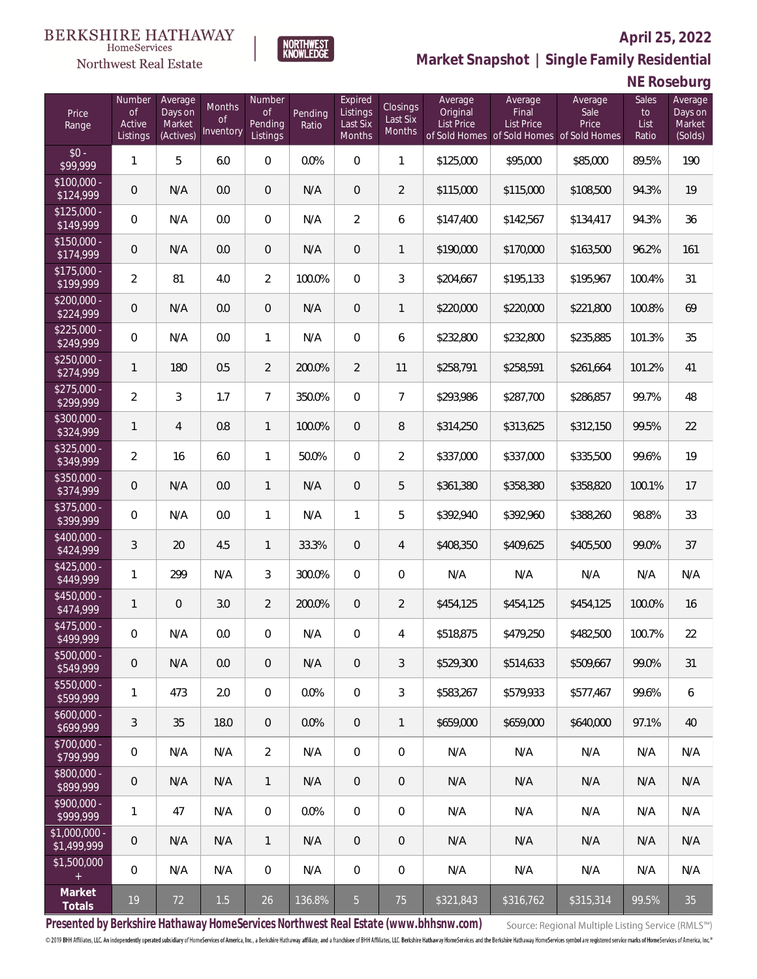### Northwest Real Estate



### **April 25, 2022 Market Snapshot | Single Family Residential**

# **NE Roseburg**

| Price<br>Range               | Number<br>of<br>Active<br>Listings | Average<br>Days on<br>Market<br>(Actives) | Months<br>Οf<br>Inventory | Number<br><b>of</b><br>Pending<br>Listings | Pending<br>Ratio | Expired<br>Listings<br>Last Six<br>Months | Closings<br>Last Six<br>Months | Average<br>Original<br><b>List Price</b> | Average<br>Final<br>List Price<br>of Sold Homes of Sold Homes of Sold Homes | Average<br>Sale<br>Price | Sales<br>to<br>List<br>Ratio | Average<br>Days on<br>Market<br>(Solds) |
|------------------------------|------------------------------------|-------------------------------------------|---------------------------|--------------------------------------------|------------------|-------------------------------------------|--------------------------------|------------------------------------------|-----------------------------------------------------------------------------|--------------------------|------------------------------|-----------------------------------------|
| $$0 -$<br>\$99,999           | 1                                  | 5                                         | 6.0                       | $\overline{0}$                             | 0.0%             | $\overline{0}$                            | $\mathbf{1}$                   | \$125,000                                | \$95,000                                                                    | \$85,000                 | 89.5%                        | 190                                     |
| $$100,000 -$<br>\$124,999    | 0                                  | N/A                                       | 0.0                       | $\overline{0}$                             | N/A              | $\overline{0}$                            | $\overline{2}$                 | \$115,000                                | \$115,000                                                                   | \$108,500                | 94.3%                        | 19                                      |
| $$125,000 -$<br>\$149,999    | $\overline{0}$                     | N/A                                       | 0.0                       | $\overline{0}$                             | N/A              | $\overline{2}$                            | 6                              | \$147,400                                | \$142,567                                                                   | \$134,417                | 94.3%                        | 36                                      |
| $$150,000 -$<br>\$174,999    | 0                                  | N/A                                       | 0.0                       | $\overline{0}$                             | N/A              | $\overline{0}$                            | $\mathbf{1}$                   | \$190,000                                | \$170,000                                                                   | \$163,500                | 96.2%                        | 161                                     |
| $$175,000 -$<br>\$199,999    | $\overline{a}$                     | 81                                        | 4.0                       | $\overline{2}$                             | 100.0%           | $\overline{0}$                            | 3                              | \$204,667                                | \$195,133                                                                   | \$195,967                | 100.4%                       | 31                                      |
| $$200,000 -$<br>\$224,999    | $\overline{0}$                     | N/A                                       | 0.0                       | $\overline{0}$                             | N/A              | $\overline{0}$                            | $\mathbf{1}$                   | \$220,000                                | \$220,000                                                                   | \$221,800                | 100.8%                       | 69                                      |
| $$225,000 -$<br>\$249,999    | $\overline{0}$                     | N/A                                       | 0.0                       | $\mathbf{1}$                               | N/A              | $\overline{0}$                            | 6                              | \$232,800                                | \$232,800                                                                   | \$235,885                | 101.3%                       | 35                                      |
| $$250,000 -$<br>\$274,999    | $\mathbf{1}$                       | 180                                       | 0.5                       | $\overline{2}$                             | 200.0%           | $\overline{2}$                            | 11                             | \$258,791                                | \$258,591                                                                   | \$261,664                | 101.2%                       | 41                                      |
| $$275,000 -$<br>\$299,999    | $\overline{2}$                     | 3                                         | 1.7                       | $\overline{7}$                             | 350.0%           | $\overline{0}$                            | $\overline{7}$                 | \$293,986                                | \$287,700                                                                   | \$286,857                | 99.7%                        | 48                                      |
| $$300,000 -$<br>\$324,999    | $\mathbf{1}$                       | $\overline{4}$                            | 0.8                       | $\mathbf{1}$                               | 100.0%           | $\overline{0}$                            | 8                              | \$314,250                                | \$313,625                                                                   | \$312,150                | 99.5%                        | 22                                      |
| $$325,000 -$<br>\$349,999    | $\overline{2}$                     | 16                                        | 6.0                       | $\mathbf{1}$                               | 50.0%            | $\overline{0}$                            | $\overline{2}$                 | \$337,000                                | \$337,000                                                                   | \$335,500                | 99.6%                        | 19                                      |
| $$350,000 -$<br>\$374,999    | 0                                  | N/A                                       | 0.0                       | $\mathbf{1}$                               | N/A              | $\overline{0}$                            | 5                              | \$361,380                                | \$358,380                                                                   | \$358,820                | 100.1%                       | 17                                      |
| \$375,000 -<br>\$399,999     | $\overline{0}$                     | N/A                                       | 0.0                       | $\mathbf{1}$                               | N/A              | $\mathbf{1}$                              | 5                              | \$392,940                                | \$392,960                                                                   | \$388,260                | 98.8%                        | 33                                      |
| $$400,000 -$<br>\$424,999    | 3                                  | 20                                        | 4.5                       | $\mathbf{1}$                               | 33.3%            | $\overline{0}$                            | $\overline{4}$                 | \$408,350                                | \$409,625                                                                   | \$405,500                | 99.0%                        | 37                                      |
| $$425,000 -$<br>\$449,999    | 1                                  | 299                                       | N/A                       | 3                                          | 300.0%           | $\overline{0}$                            | $\mathbf 0$                    | N/A                                      | N/A                                                                         | N/A                      | N/A                          | N/A                                     |
| $$450,000 -$<br>\$474,999    | $\mathbf{1}$                       | $\overline{0}$                            | 3.0                       | $\overline{2}$                             | 200.0%           | $\overline{0}$                            | $\overline{2}$                 | \$454,125                                | \$454,125                                                                   | \$454,125                | 100.0%                       | 16                                      |
| $$475,000 -$<br>\$499,999    | 0                                  | N/A                                       | 0.0                       | $\overline{0}$                             | N/A              | $\overline{0}$                            | $\overline{4}$                 | \$518,875                                | \$479,250                                                                   | \$482,500                | 100.7%                       | 22                                      |
| $$500,000 -$<br>\$549,999    | 0                                  | N/A                                       | 0.0                       | $\overline{0}$                             | N/A              | $\overline{0}$                            | 3                              | \$529,300                                | \$514,633                                                                   | \$509,667                | 99.0%                        | 31                                      |
| $$550,000 -$<br>\$599,999    | 1                                  | 473                                       | 2.0                       | $\mathbf 0$                                | 0.0%             | $\mathbf 0$                               | $\mathfrak{Z}$                 | \$583,267                                | \$579,933                                                                   | \$577,467                | 99.6%                        | 6                                       |
| $$600,000 -$<br>\$699,999    | 3                                  | 35                                        | 18.0                      | $\overline{0}$                             | 0.0%             | $\overline{0}$                            | $\mathbf{1}$                   | \$659,000                                | \$659,000                                                                   | \$640,000                | 97.1%                        | 40                                      |
| $$700,000 -$<br>\$799,999    | 0                                  | N/A                                       | N/A                       | $\overline{2}$                             | N/A              | $\mathbf 0$                               | 0                              | N/A                                      | N/A                                                                         | N/A                      | N/A                          | N/A                                     |
| $$800,000 -$<br>\$899,999    | $\mathbf 0$                        | N/A                                       | N/A                       | $\mathbf{1}$                               | N/A              | $\overline{0}$                            | 0                              | N/A                                      | N/A                                                                         | N/A                      | N/A                          | N/A                                     |
| $$900,000 -$<br>\$999,999    | 1                                  | 47                                        | N/A                       | $\mathbf 0$                                | 0.0%             | $\mathbf 0$                               | 0                              | N/A                                      | N/A                                                                         | N/A                      | N/A                          | N/A                                     |
| \$1,000,000 -<br>\$1,499,999 | $\theta$                           | N/A                                       | N/A                       | $\mathbf{1}$                               | N/A              | $\mathbf 0$                               | 0                              | N/A                                      | N/A                                                                         | N/A                      | N/A                          | N/A                                     |
| \$1,500,000<br>$+$           | $\mathbf 0$                        | N/A                                       | N/A                       | $\mathbf 0$                                | N/A              | $\mathbf 0$                               | $\mathbf 0$                    | N/A                                      | N/A                                                                         | N/A                      | N/A                          | N/A                                     |
| Market<br>Totals             | $19$                               | 72                                        | $1.5$                     | 26                                         | 136.8%           | $5\overline{)}$                           | 75                             | \$321,843                                | \$316,762                                                                   | \$315,314                | 99.5%                        | 35                                      |

**Presented by Berkshire Hathaway HomeServices Northwest Real Estate (www.bhhsnw.com)**

Source: Regional Multiple Listing Service (RMLS™)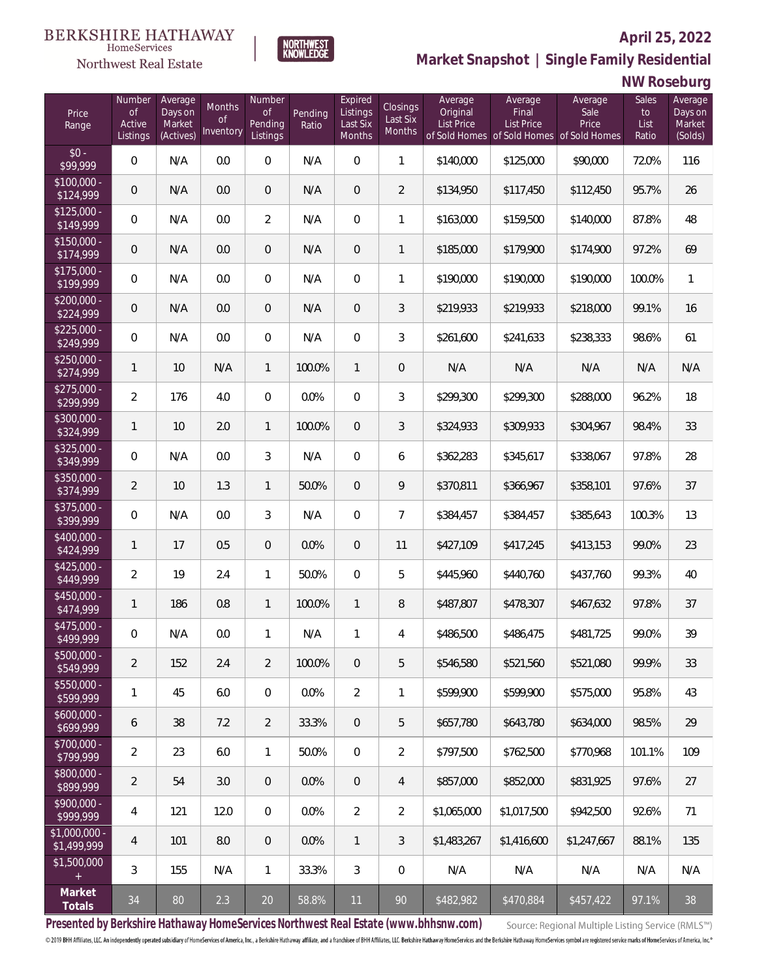### Northwest Real Estate



## **Market Snapshot | Single Family Residential**

### **NW Roseburg**

**April 25, 2022**

| Price<br>Range               | Number<br>of<br>Active<br>Listings | Average<br>Days on<br>Market<br>(Actives) | Months<br>0f<br>Inventory | Number<br><b>of</b><br>Pending<br>Listings | Pending<br>Ratio | Expired<br>Listings<br>Last Six<br>Months | Closings<br>Last Six<br><b>Months</b> | Average<br>Original<br><b>List Price</b> | Average<br>Final<br>List Price<br>of Sold Homes of Sold Homes of Sold Homes | Average<br>Sale<br>Price | Sales<br>to<br>List<br>Ratio | Average<br>Days on<br>Market<br>(Solds) |
|------------------------------|------------------------------------|-------------------------------------------|---------------------------|--------------------------------------------|------------------|-------------------------------------------|---------------------------------------|------------------------------------------|-----------------------------------------------------------------------------|--------------------------|------------------------------|-----------------------------------------|
| $$0 -$<br>\$99,999           | $\overline{0}$                     | N/A                                       | 0.0                       | $\overline{0}$                             | N/A              | $\overline{0}$                            | $\mathbf{1}$                          | \$140,000                                | \$125,000                                                                   | \$90,000                 | 72.0%                        | 116                                     |
| $$100,000 -$<br>\$124,999    | 0                                  | N/A                                       | 0.0                       | $\overline{0}$                             | N/A              | $\overline{0}$                            | $\overline{2}$                        | \$134,950                                | \$117,450                                                                   | \$112,450                | 95.7%                        | 26                                      |
| $$125,000 -$<br>\$149,999    | $\overline{0}$                     | N/A                                       | 0.0                       | $\overline{2}$                             | N/A              | $\overline{0}$                            | $\mathbf{1}$                          | \$163,000                                | \$159,500                                                                   | \$140,000                | 87.8%                        | 48                                      |
| $$150,000 -$<br>\$174,999    | 0                                  | N/A                                       | 0.0                       | $\overline{0}$                             | N/A              | $\overline{0}$                            | $\mathbf{1}$                          | \$185,000                                | \$179,900                                                                   | \$174,900                | 97.2%                        | 69                                      |
| $$175,000 -$<br>\$199,999    | $\overline{0}$                     | N/A                                       | 0.0                       | $\overline{0}$                             | N/A              | $\overline{0}$                            | $\mathbf{1}$                          | \$190,000                                | \$190,000                                                                   | \$190,000                | 100.0%                       | $\mathbf{1}$                            |
| $$200,000 -$<br>\$224,999    | 0                                  | N/A                                       | 0.0                       | $\overline{0}$                             | N/A              | $\overline{0}$                            | $\mathfrak{Z}$                        | \$219,933                                | \$219,933                                                                   | \$218,000                | 99.1%                        | 16                                      |
| $$225,000 -$<br>\$249,999    | $\overline{0}$                     | N/A                                       | 0.0                       | $\overline{0}$                             | N/A              | $\overline{0}$                            | $\mathfrak{Z}$                        | \$261,600                                | \$241,633                                                                   | \$238,333                | 98.6%                        | 61                                      |
| $$250,000 -$<br>\$274,999    | $\mathbf{1}$                       | 10                                        | N/A                       | $\mathbf{1}$                               | 100.0%           | $\mathbf{1}$                              | $\overline{0}$                        | N/A                                      | N/A                                                                         | N/A                      | N/A                          | N/A                                     |
| $$275,000 -$<br>\$299,999    | $\overline{2}$                     | 176                                       | 4.0                       | $\overline{0}$                             | 0.0%             | $\overline{0}$                            | $\mathfrak{Z}$                        | \$299,300                                | \$299,300                                                                   | \$288,000                | 96.2%                        | 18                                      |
| $$300,000 -$<br>\$324,999    | $\mathbf{1}$                       | 10                                        | 2.0                       | $\mathbf{1}$                               | 100.0%           | $\overline{0}$                            | 3                                     | \$324,933                                | \$309,933                                                                   | \$304,967                | 98.4%                        | 33                                      |
| $$325,000 -$<br>\$349,999    | $\overline{0}$                     | N/A                                       | 0.0                       | 3                                          | N/A              | $\overline{0}$                            | 6                                     | \$362,283                                | \$345,617                                                                   | \$338,067                | 97.8%                        | 28                                      |
| $$350,000 -$<br>\$374,999    | $\overline{2}$                     | 10                                        | 1.3                       | $\mathbf{1}$                               | 50.0%            | $\overline{0}$                            | 9                                     | \$370,811                                | \$366,967                                                                   | \$358,101                | 97.6%                        | 37                                      |
| $$375,000 -$<br>\$399,999    | $\overline{0}$                     | N/A                                       | 0.0                       | 3                                          | N/A              | $\overline{0}$                            | $\overline{7}$                        | \$384,457                                | \$384,457                                                                   | \$385,643                | 100.3%                       | 13                                      |
| \$400,000 -<br>\$424,999     | $\mathbf{1}$                       | 17                                        | 0.5                       | $\overline{0}$                             | 0.0%             | $\overline{0}$                            | 11                                    | \$427,109                                | \$417,245                                                                   | \$413,153                | 99.0%                        | 23                                      |
| $$425,000 -$<br>\$449,999    | $\overline{a}$                     | 19                                        | 2.4                       | $\mathbf{1}$                               | 50.0%            | $\overline{0}$                            | 5                                     | \$445,960                                | \$440,760                                                                   | \$437,760                | 99.3%                        | 40                                      |
| $$450,000 -$<br>\$474,999    | $\mathbf{1}$                       | 186                                       | 0.8                       | $\mathbf{1}$                               | 100.0%           | $\mathbf{1}$                              | 8                                     | \$487,807                                | \$478,307                                                                   | \$467,632                | 97.8%                        | 37                                      |
| $$475,000 -$<br>\$499,999    | 0                                  | N/A                                       | 0.0                       | $\mathbf{1}$                               | N/A              | 1                                         | 4                                     | \$486,500                                | \$486,475                                                                   | \$481,725                | 99.0%                        | 39                                      |
| $$500,000 -$<br>\$549,999    | $\overline{2}$                     | 152                                       | 2.4                       | $\overline{2}$                             | 100.0%           | $\overline{0}$                            | 5                                     | \$546,580                                | \$521,560                                                                   | \$521,080                | 99.9%                        | 33                                      |
| $$550,000 -$<br>\$599,999    | 1                                  | 45                                        | 6.0                       | $\boldsymbol{0}$                           | 0.0%             | $\overline{2}$                            | 1                                     | \$599,900                                | \$599,900                                                                   | \$575,000                | 95.8%                        | 43                                      |
| $$600,000 -$<br>\$699,999    | 6                                  | 38                                        | 7.2                       | $\overline{2}$                             | 33.3%            | $\overline{0}$                            | 5                                     | \$657,780                                | \$643,780                                                                   | \$634,000                | 98.5%                        | 29                                      |
| $$700,000 -$<br>\$799,999    | $\overline{2}$                     | 23                                        | 6.0                       | $\mathbf{1}$                               | 50.0%            | $\boldsymbol{0}$                          | $\overline{2}$                        | \$797,500                                | \$762,500                                                                   | \$770,968                | 101.1%                       | 109                                     |
| $$800,000 -$<br>\$899,999    | $\overline{2}$                     | 54                                        | 3.0                       | $\overline{0}$                             | 0.0%             | $\overline{0}$                            | $\overline{4}$                        | \$857,000                                | \$852,000                                                                   | \$831,925                | 97.6%                        | 27                                      |
| \$900,000 -<br>\$999,999     | 4                                  | 121                                       | 12.0                      | $\overline{0}$                             | 0.0%             | $\overline{2}$                            | $\overline{2}$                        | \$1,065,000                              | \$1,017,500                                                                 | \$942,500                | 92.6%                        | 71                                      |
| \$1,000,000 -<br>\$1,499,999 | 4                                  | 101                                       | 8.0                       | $\overline{0}$                             | 0.0%             | $\mathbf{1}$                              | $\mathfrak{Z}$                        | \$1,483,267                              | \$1,416,600                                                                 | \$1,247,667              | 88.1%                        | 135                                     |
| \$1,500,000<br>$+$           | 3                                  | 155                                       | N/A                       | $\mathbf{1}$                               | 33.3%            | $\mathfrak{Z}$                            | 0                                     | N/A                                      | N/A                                                                         | N/A                      | N/A                          | N/A                                     |
| Market<br>Totals             | 34                                 | 80                                        | 2.3                       | 20                                         | 58.8%            | 11                                        | 90                                    | \$482,982                                | \$470,884                                                                   | \$457,422                | 97.1%                        | 38                                      |

**Presented by Berkshire Hathaway HomeServices Northwest Real Estate (www.bhhsnw.com)**

Source: Regional Multiple Listing Service (RMLS™)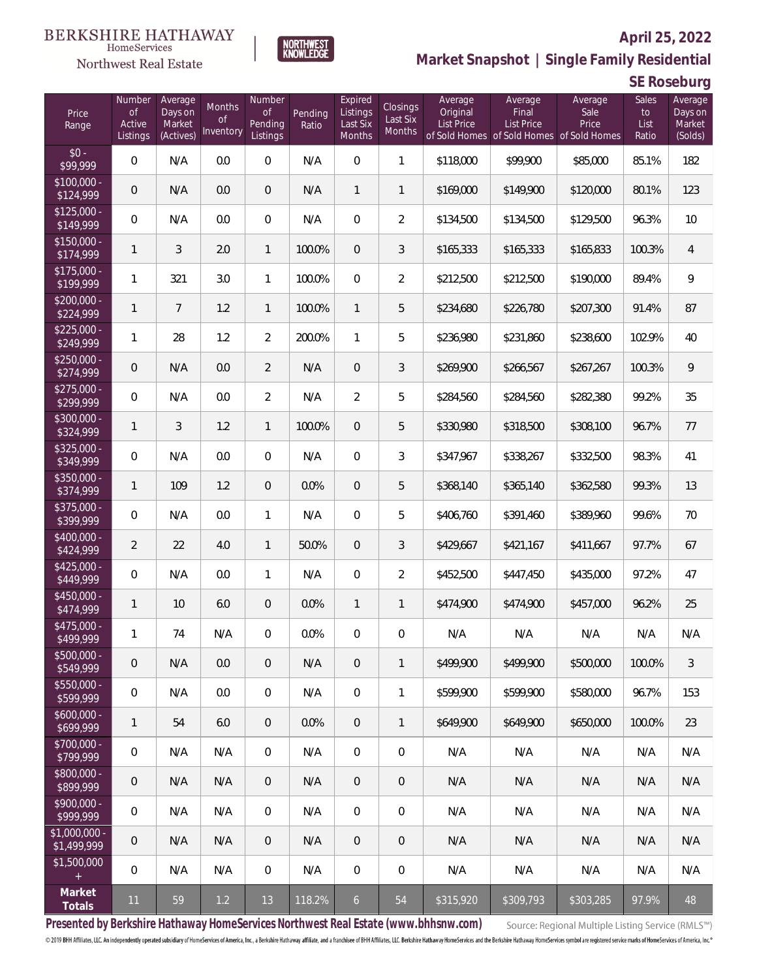

### **April 25, 2022**

**Market Snapshot | Single Family Residential**

### **SE Roseburg**

| Price<br>Range                | Number<br>$\circ f$<br>Active<br>Listings | Average<br>Days on<br>Market<br>(Actives) | Months<br>Οf<br>Inventory | Number<br><b>of</b><br>Pending<br>Listings | Pending<br>Ratio | Expired<br>Listings<br>Last Six<br><b>Months</b> | Closings<br>Last Six<br>Months | Average<br>Original<br><b>List Price</b> | Average<br>Final<br><b>List Price</b> | Average<br>Sale<br>Price<br>of Sold Homes of Sold Homes of Sold Homes | Sales<br>to<br>List<br>Ratio | Average<br>Days on<br>Market<br>(Solds) |
|-------------------------------|-------------------------------------------|-------------------------------------------|---------------------------|--------------------------------------------|------------------|--------------------------------------------------|--------------------------------|------------------------------------------|---------------------------------------|-----------------------------------------------------------------------|------------------------------|-----------------------------------------|
| $$0 -$<br>\$99,999            | 0                                         | N/A                                       | 0.0                       | $\overline{0}$                             | N/A              | $\overline{0}$                                   | $\mathbf{1}$                   | \$118,000                                | \$99,900                              | \$85,000                                                              | 85.1%                        | 182                                     |
| $$100,000 -$<br>\$124,999     | $\mathbf 0$                               | N/A                                       | 0.0                       | $\overline{0}$                             | N/A              | $\mathbf{1}$                                     | $\mathbf{1}$                   | \$169,000                                | \$149,900                             | \$120,000                                                             | 80.1%                        | 123                                     |
| $$125,000 -$<br>\$149,999     | 0                                         | N/A                                       | 0.0                       | $\overline{0}$                             | N/A              | $\mathbf{0}$                                     | $\overline{2}$                 | \$134,500                                | \$134,500                             | \$129,500                                                             | 96.3%                        | 10                                      |
| $$150.000 -$<br>\$174,999     | $\mathbf{1}$                              | 3                                         | 2.0                       | $\mathbf{1}$                               | 100.0%           | $\overline{0}$                                   | 3                              | \$165,333                                | \$165,333                             | \$165,833                                                             | 100.3%                       | 4                                       |
| $$175,000 -$<br>\$199,999     | 1                                         | 321                                       | 3.0                       | $\mathbf{1}$                               | 100.0%           | $\overline{0}$                                   | $\overline{2}$                 | \$212,500                                | \$212,500                             | \$190,000                                                             | 89.4%                        | 9                                       |
| $$200,000 -$<br>\$224,999     | $\mathbf{1}$                              | $\overline{7}$                            | 1.2                       | 1                                          | 100.0%           | $\mathbf{1}$                                     | 5                              | \$234,680                                | \$226,780                             | \$207,300                                                             | 91.4%                        | 87                                      |
| $$225,000 -$<br>\$249,999     | 1                                         | 28                                        | 1.2                       | $\overline{2}$                             | 200.0%           | $\mathbf{1}$                                     | 5                              | \$236,980                                | \$231,860                             | \$238,600                                                             | 102.9%                       | 40                                      |
| $$250,000 -$<br>\$274,999     | $\overline{0}$                            | N/A                                       | 0.0                       | 2                                          | N/A              | $\overline{0}$                                   | $\mathfrak{Z}$                 | \$269,900                                | \$266,567                             | \$267,267                                                             | 100.3%                       | 9                                       |
| $$275,000 -$<br>\$299,999     | 0                                         | N/A                                       | 0.0                       | $\overline{2}$                             | N/A              | $\overline{2}$                                   | 5                              | \$284,560                                | \$284,560                             | \$282,380                                                             | 99.2%                        | 35                                      |
| $$300,000 -$<br>\$324,999     | $\mathbf{1}$                              | 3                                         | 1.2                       | $\mathbf{1}$                               | 100.0%           | $\overline{0}$                                   | 5                              | \$330,980                                | \$318,500                             | \$308,100                                                             | 96.7%                        | 77                                      |
| \$325,000 -<br>\$349,999      | 0                                         | N/A                                       | 0.0                       | $\boldsymbol{0}$                           | N/A              | $\overline{0}$                                   | 3                              | \$347,967                                | \$338,267                             | \$332,500                                                             | 98.3%                        | 41                                      |
| $$350,000 -$<br>\$374,999     | $\mathbf{1}$                              | 109                                       | 1.2                       | $\boldsymbol{0}$                           | 0.0%             | $\overline{0}$                                   | 5                              | \$368,140                                | \$365,140                             | \$362,580                                                             | 99.3%                        | 13                                      |
| $$375,000 -$<br>\$399,999     | 0                                         | N/A                                       | 0.0                       | 1                                          | N/A              | $\overline{0}$                                   | 5                              | \$406,760                                | \$391,460                             | \$389,960                                                             | 99.6%                        | 70                                      |
| \$400,000 -<br>\$424,999      | $\overline{2}$                            | 22                                        | 4.0                       | 1                                          | 50.0%            | $\overline{0}$                                   | $\mathfrak{Z}$                 | \$429,667                                | \$421,167                             | \$411,667                                                             | 97.7%                        | 67                                      |
| $$425,000 -$<br>\$449,999     | 0                                         | N/A                                       | 0.0                       | 1                                          | N/A              | $\overline{0}$                                   | $\overline{2}$                 | \$452,500                                | \$447,450                             | \$435,000                                                             | 97.2%                        | 47                                      |
| $$450,000 -$<br>\$474,999     | $\mathbf{1}$                              | 10                                        | 6.0                       | $\boldsymbol{0}$                           | 0.0%             | $\mathbf{1}$                                     | $\mathbf{1}$                   | \$474,900                                | \$474,900                             | \$457,000                                                             | 96.2%                        | 25                                      |
| $$475,000 -$<br>\$499,999     | 1                                         | 74                                        | N/A                       | 0                                          | 0.0%             | 0                                                | $\,0\,$                        | N/A                                      | N/A                                   | N/A                                                                   | N/A                          | N/A                                     |
| $$500,000 -$<br>\$549,999     | $\overline{0}$                            | N/A                                       | 0.0                       | $\overline{0}$                             | N/A              | $\overline{0}$                                   | $\mathbf{1}$                   | \$499,900                                | \$499,900                             | \$500,000                                                             | 100.0%                       | 3                                       |
| $$550,000 -$<br>\$599,999     | 0                                         | N/A                                       | 0.0                       | $\overline{0}$                             | N/A              | $\overline{0}$                                   | 1                              | \$599,900                                | \$599,900                             | \$580,000                                                             | 96.7%                        | 153                                     |
| $$600,000 -$<br>\$699,999     | $\mathbf{1}$                              | 54                                        | 6.0                       | $\overline{0}$                             | 0.0%             | $\overline{0}$                                   | $\mathbf{1}$                   | \$649,900                                | \$649,900                             | \$650,000                                                             | 100.0%                       | 23                                      |
| \$700,000 -<br>\$799,999      | 0                                         | N/A                                       | N/A                       | $\,0\,$                                    | N/A              | $\overline{0}$                                   | $\boldsymbol{0}$               | N/A                                      | N/A                                   | N/A                                                                   | N/A                          | N/A                                     |
| \$800,000 -<br>\$899,999      | $\overline{0}$                            | N/A                                       | N/A                       | $\overline{0}$                             | N/A              | $\overline{0}$                                   | $\overline{0}$                 | N/A                                      | N/A                                   | N/A                                                                   | N/A                          | N/A                                     |
| \$900,000 -<br>\$999,999      | 0                                         | N/A                                       | N/A                       | $\,0\,$                                    | N/A              | $\overline{0}$                                   | 0                              | N/A                                      | N/A                                   | N/A                                                                   | N/A                          | N/A                                     |
| $$1,000,000 -$<br>\$1,499,999 | $\mathbf 0$                               | N/A                                       | N/A                       | $\overline{0}$                             | N/A              | $\overline{0}$                                   | $\overline{0}$                 | N/A                                      | N/A                                   | N/A                                                                   | N/A                          | N/A                                     |
| \$1,500,000<br>$+$            | 0                                         | N/A                                       | N/A                       | $\overline{0}$                             | N/A              | $\overline{0}$                                   | 0                              | N/A                                      | N/A                                   | N/A                                                                   | N/A                          | N/A                                     |
| Market<br>Totals              | 11                                        | 59                                        | 1.2                       | 13                                         | 118.2%           | 6                                                | 54                             | \$315,920                                | \$309,793                             | \$303,285                                                             | 97.9%                        | 48                                      |

**NORTHWEST**<br>KNOWLEDGE

**Presented by Berkshire Hathaway HomeServices Northwest Real Estate (www.bhhsnw.com)**

Source: Regional Multiple Listing Service (RMLS™)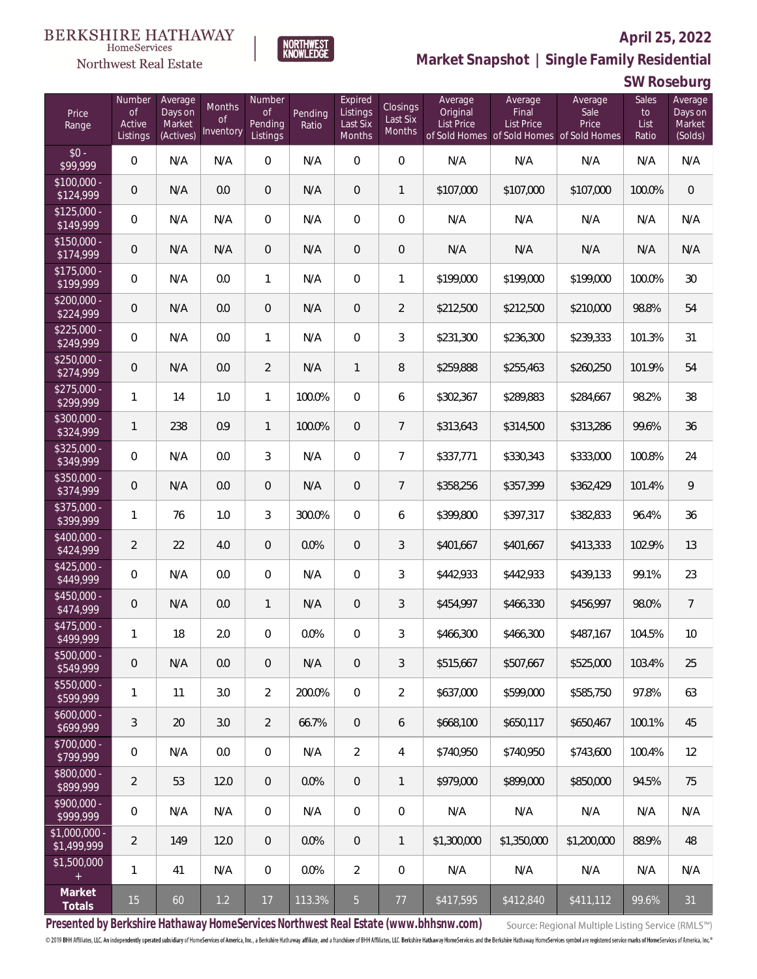

**NORTHWEST**<br>KNOWLEDGE

### Northwest Real Estate

**Market Snapshot | Single Family Residential**

### **SW Roseburg**

| Price<br>Range               | Number<br>of<br>Active<br>Listings | Average<br>Days on<br>Market<br>(Actives) | Months<br>0f<br>Inventory | Number<br><b>of</b><br>Pending<br>Listings | Pending<br>Ratio | Expired<br>Listings<br>Last Six<br>Months | Closings<br>Last Six<br><b>Months</b> | Average<br>Original<br><b>List Price</b> | Average<br>Final<br><b>List Price</b><br>of Sold Homes of Sold Homes of Sold Homes | Average<br>Sale<br>Price | Sales<br>to<br>List<br>Ratio | Average<br>Days on<br>Market<br>(Solds) |
|------------------------------|------------------------------------|-------------------------------------------|---------------------------|--------------------------------------------|------------------|-------------------------------------------|---------------------------------------|------------------------------------------|------------------------------------------------------------------------------------|--------------------------|------------------------------|-----------------------------------------|
| $$0 -$<br>\$99,999           | $\mathbf{0}$                       | N/A                                       | N/A                       | $\overline{0}$                             | N/A              | $\Omega$                                  | $\overline{0}$                        | N/A                                      | N/A                                                                                | N/A                      | N/A                          | N/A                                     |
| $$100,000 -$<br>\$124,999    | 0                                  | N/A                                       | 0.0                       | $\overline{0}$                             | N/A              | $\overline{0}$                            | $\mathbf{1}$                          | \$107,000                                | \$107,000                                                                          | \$107,000                | 100.0%                       | $\overline{0}$                          |
| $$125,000 -$<br>\$149,999    | $\overline{0}$                     | N/A                                       | N/A                       | $\overline{0}$                             | N/A              | $\overline{0}$                            | $\overline{0}$                        | N/A                                      | N/A                                                                                | N/A                      | N/A                          | N/A                                     |
| $$150,000 -$<br>\$174,999    | 0                                  | N/A                                       | N/A                       | $\overline{0}$                             | N/A              | $\overline{0}$                            | $\overline{0}$                        | N/A                                      | N/A                                                                                | N/A                      | N/A                          | N/A                                     |
| $$175,000 -$<br>\$199,999    | $\overline{0}$                     | N/A                                       | 0.0                       | $\mathbf{1}$                               | N/A              | $\overline{0}$                            | $\mathbf{1}$                          | \$199,000                                | \$199,000                                                                          | \$199,000                | 100.0%                       | 30                                      |
| $$200,000 -$<br>\$224,999    | 0                                  | N/A                                       | 0.0                       | $\overline{0}$                             | N/A              | $\overline{0}$                            | $\overline{2}$                        | \$212,500                                | \$212,500                                                                          | \$210,000                | 98.8%                        | 54                                      |
| $$225,000 -$<br>\$249,999    | $\overline{0}$                     | N/A                                       | 0.0                       | $\mathbf{1}$                               | N/A              | $\overline{0}$                            | 3                                     | \$231,300                                | \$236,300                                                                          | \$239,333                | 101.3%                       | 31                                      |
| $$250,000 -$<br>\$274,999    | 0                                  | N/A                                       | 0.0                       | $\overline{2}$                             | N/A              | $\mathbf{1}$                              | 8                                     | \$259,888                                | \$255,463                                                                          | \$260,250                | 101.9%                       | 54                                      |
| $$275,000 -$<br>\$299,999    | $\mathbf{1}$                       | 14                                        | 1.0                       | $\mathbf{1}$                               | 100.0%           | $\overline{0}$                            | 6                                     | \$302,367                                | \$289,883                                                                          | \$284,667                | 98.2%                        | 38                                      |
| $$300,000 -$<br>\$324,999    | $\mathbf{1}$                       | 238                                       | 0.9                       | $\mathbf{1}$                               | 100.0%           | $\overline{0}$                            | $7\overline{ }$                       | \$313,643                                | \$314,500                                                                          | \$313,286                | 99.6%                        | 36                                      |
| $$325,000 -$<br>\$349,999    | $\overline{0}$                     | N/A                                       | 0.0                       | 3                                          | N/A              | $\overline{0}$                            | $\overline{7}$                        | \$337,771                                | \$330,343                                                                          | \$333,000                | 100.8%                       | 24                                      |
| $$350,000 -$<br>\$374,999    | $\overline{0}$                     | N/A                                       | 0.0                       | $\overline{0}$                             | N/A              | $\overline{0}$                            | $7\overline{ }$                       | \$358,256                                | \$357,399                                                                          | \$362,429                | 101.4%                       | 9                                       |
| $$375,000 -$<br>\$399,999    | 1                                  | 76                                        | 1.0                       | $\mathfrak{Z}$                             | 300.0%           | $\overline{0}$                            | 6                                     | \$399,800                                | \$397,317                                                                          | \$382,833                | 96.4%                        | 36                                      |
| $$400,000 -$<br>\$424,999    | $\overline{2}$                     | 22                                        | 4.0                       | $\overline{0}$                             | 0.0%             | $\overline{0}$                            | 3                                     | \$401,667                                | \$401,667                                                                          | \$413,333                | 102.9%                       | 13                                      |
| $$425,000 -$<br>\$449,999    | $\overline{0}$                     | N/A                                       | 0.0                       | $\overline{0}$                             | N/A              | $\overline{0}$                            | 3                                     | \$442,933                                | \$442,933                                                                          | \$439,133                | 99.1%                        | 23                                      |
| $$450,000 -$<br>\$474,999    | 0                                  | N/A                                       | 0.0                       | $\mathbf{1}$                               | N/A              | $\overline{0}$                            | $\mathfrak{Z}$                        | \$454,997                                | \$466,330                                                                          | \$456,997                | 98.0%                        | $\overline{7}$                          |
| $$475,000 -$<br>\$499,999    | 1                                  | 18                                        | 2.0                       | $\overline{0}$                             | 0.0%             | $\overline{0}$                            | 3                                     | \$466,300                                | \$466,300                                                                          | \$487,167                | 104.5%                       | 10                                      |
| $$500,000 -$<br>\$549,999    | 0                                  | N/A                                       | 0.0                       | $\overline{0}$                             | N/A              | $\overline{0}$                            | 3                                     | \$515,667                                | \$507,667                                                                          | \$525,000                | 103.4%                       | 25                                      |
| $$550,000 -$<br>\$599,999    | 1                                  | 11                                        | 3.0                       | $\overline{a}$                             | 200.0%           | $\mathbf 0$                               | $\overline{2}$                        | \$637,000                                | \$599,000                                                                          | \$585,750                | 97.8%                        | 63                                      |
| $$600,000 -$<br>\$699,999    | 3                                  | 20                                        | 3.0                       | $\overline{2}$                             | 66.7%            | $\overline{0}$                            | 6                                     | \$668,100                                | \$650,117                                                                          | \$650,467                | 100.1%                       | 45                                      |
| $$700,000 -$<br>\$799,999    | $\overline{0}$                     | N/A                                       | 0.0                       | $\mathbf 0$                                | N/A              | $\overline{2}$                            | 4                                     | \$740,950                                | \$740,950                                                                          | \$743,600                | 100.4%                       | 12                                      |
| $$800,000 -$<br>\$899,999    | $\overline{2}$                     | 53                                        | 12.0                      | $\overline{0}$                             | 0.0%             | $\overline{0}$                            | $\mathbf{1}$                          | \$979,000                                | \$899,000                                                                          | \$850,000                | 94.5%                        | 75                                      |
| \$900,000 -<br>\$999,999     | $\mathbf 0$                        | N/A                                       | N/A                       | $\overline{0}$                             | N/A              | $\mathbf 0$                               | 0                                     | N/A                                      | N/A                                                                                | N/A                      | N/A                          | N/A                                     |
| \$1,000,000 -<br>\$1,499,999 | $\overline{2}$                     | 149                                       | 12.0                      | $\overline{0}$                             | 0.0%             | $\overline{0}$                            | $\mathbf{1}$                          | \$1,300,000                              | \$1,350,000                                                                        | \$1,200,000              | 88.9%                        | 48                                      |
| \$1,500,000<br>$+$           | 1                                  | 41                                        | N/A                       | $\mathbf 0$                                | 0.0%             | $\overline{2}$                            | 0                                     | N/A                                      | N/A                                                                                | N/A                      | N/A                          | N/A                                     |
| Market<br>Totals             | 15                                 | 60                                        | 1.2                       | $17$                                       | 113.3%           | $5\overline{)}$                           | $77 \,$                               | \$417,595                                | \$412,840                                                                          | \$411,112                | 99.6%                        | 31                                      |

**Presented by Berkshire Hathaway HomeServices Northwest Real Estate (www.bhhsnw.com)**

Source: Regional Multiple Listing Service (RMLS™)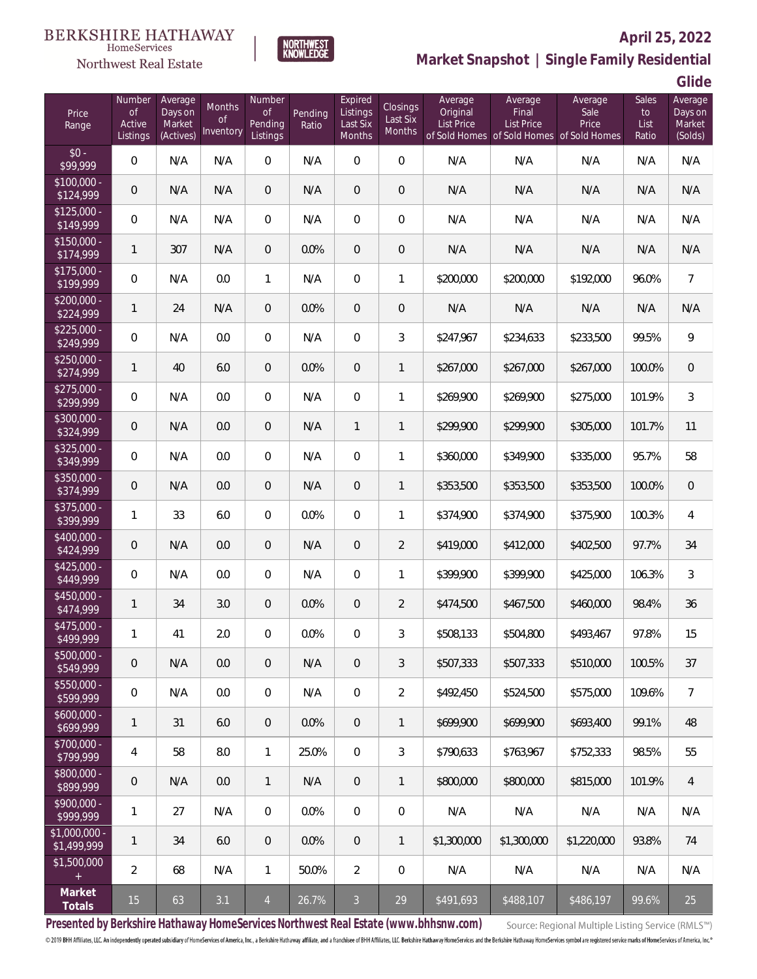



### **April 25, 2022**

**Market Snapshot | Single Family Residential**

**Glide**

| Price<br>Range                | Number<br><b>of</b><br>Active<br>Listings | Average<br>Days on<br>Market<br>(Actives) | Months<br><sub>of</sub><br>Inventory | Number<br><b>of</b><br>Pending<br>Listings | Pending<br>Ratio | Expired<br>Listings<br>Last Six<br>Months | <b>Closings</b><br>Last Six<br>Months | Average<br>Original<br><b>List Price</b> | Average<br>Final<br>List Price<br>of Sold Homes of Sold Homes of Sold Homes | Average<br>Sale<br>Price | Sales<br>to<br>List<br>Ratio | Average<br>Days on<br>Market<br>(Solds) |
|-------------------------------|-------------------------------------------|-------------------------------------------|--------------------------------------|--------------------------------------------|------------------|-------------------------------------------|---------------------------------------|------------------------------------------|-----------------------------------------------------------------------------|--------------------------|------------------------------|-----------------------------------------|
| $$0 -$<br>\$99,999            | $\mathbf 0$                               | N/A                                       | N/A                                  | $\mathbf 0$                                | N/A              | $\mathbf 0$                               | 0                                     | N/A                                      | N/A                                                                         | N/A                      | N/A                          | N/A                                     |
| $$100,000 -$<br>\$124,999     | 0                                         | N/A                                       | N/A                                  | $\mathbf 0$                                | N/A              | $\boldsymbol{0}$                          | $\mathbf 0$                           | N/A                                      | N/A                                                                         | N/A                      | N/A                          | N/A                                     |
| $$125,000 -$<br>\$149,999     | $\mathbf 0$                               | N/A                                       | N/A                                  | $\boldsymbol{0}$                           | N/A              | $\boldsymbol{0}$                          | $\mathbf 0$                           | N/A                                      | N/A                                                                         | N/A                      | N/A                          | N/A                                     |
| $$150,000 -$<br>\$174,999     | 1                                         | 307                                       | N/A                                  | $\mathbf 0$                                | 0.0%             | $\boldsymbol{0}$                          | $\mathbf 0$                           | N/A                                      | N/A                                                                         | N/A                      | N/A                          | N/A                                     |
| $$175,000 -$<br>\$199,999     | $\mathbf 0$                               | N/A                                       | 0.0                                  | $\mathbf{1}$                               | N/A              | $\boldsymbol{0}$                          | 1                                     | \$200,000                                | \$200,000                                                                   | \$192,000                | 96.0%                        | $\overline{7}$                          |
| $$200,000 -$<br>\$224,999     | 1                                         | 24                                        | N/A                                  | $\mathbf 0$                                | 0.0%             | $\boldsymbol{0}$                          | $\mathsf{O}\xspace$                   | N/A                                      | N/A                                                                         | N/A                      | N/A                          | N/A                                     |
| $$225,000 -$<br>\$249,999     | $\mathbf 0$                               | N/A                                       | 0.0                                  | $\mathbf 0$                                | N/A              | $\mathbf 0$                               | 3                                     | \$247,967                                | \$234,633                                                                   | \$233,500                | 99.5%                        | 9                                       |
| $$250,000 -$<br>\$274,999     | 1                                         | 40                                        | 6.0                                  | $\mathbf 0$                                | 0.0%             | $\boldsymbol{0}$                          | $\mathbf{1}$                          | \$267,000                                | \$267,000                                                                   | \$267,000                | 100.0%                       | $\mathbf 0$                             |
| $$275,000 -$<br>\$299,999     | $\mathbf 0$                               | N/A                                       | 0.0                                  | $\boldsymbol{0}$                           | N/A              | $\mathbf 0$                               | 1                                     | \$269,900                                | \$269,900                                                                   | \$275,000                | 101.9%                       | $\mathfrak{Z}$                          |
| \$300,000 -<br>\$324,999      | 0                                         | N/A                                       | 0.0                                  | $\mathbf 0$                                | N/A              | $\mathbf{1}$                              | $\mathbf{1}$                          | \$299,900                                | \$299,900                                                                   | \$305,000                | 101.7%                       | 11                                      |
| $$325,000 -$<br>\$349,999     | $\overline{0}$                            | N/A                                       | 0.0                                  | $\overline{0}$                             | N/A              | $\mathbf 0$                               | 1                                     | \$360,000                                | \$349,900                                                                   | \$335,000                | 95.7%                        | 58                                      |
| $$350,000 -$<br>\$374,999     | 0                                         | N/A                                       | 0.0                                  | $\mathbf 0$                                | N/A              | $\boldsymbol{0}$                          | $\mathbf{1}$                          | \$353,500                                | \$353,500                                                                   | \$353,500                | 100.0%                       | $\mathbf 0$                             |
| $$375,000 -$<br>\$399,999     | 1                                         | 33                                        | 6.0                                  | $\overline{0}$                             | 0.0%             | $\mathbf 0$                               | 1                                     | \$374,900                                | \$374,900                                                                   | \$375,900                | 100.3%                       | 4                                       |
| $$400,000 -$<br>\$424,999     | $\mathbf 0$                               | N/A                                       | 0.0                                  | $\mathbf 0$                                | N/A              | $\boldsymbol{0}$                          | $\overline{2}$                        | \$419,000                                | \$412,000                                                                   | \$402,500                | 97.7%                        | 34                                      |
| $$425,000 -$<br>\$449,999     | $\mathbf 0$                               | N/A                                       | 0.0                                  | $\mathbf 0$                                | N/A              | $\mathbf 0$                               | 1                                     | \$399,900                                | \$399,900                                                                   | \$425,000                | 106.3%                       | 3                                       |
| $$450,000 -$<br>\$474,999     | 1                                         | 34                                        | 3.0                                  | $\mathbf 0$                                | 0.0%             | $\mathbf 0$                               | $\overline{2}$                        | \$474,500                                | \$467,500                                                                   | \$460,000                | 98.4%                        | 36                                      |
| $$475,000 -$<br>\$499,999     | 1                                         | 41                                        | 2.0                                  | 0                                          | 0.0%             | $\mathbf 0$                               | 3                                     | \$508,133                                | \$504,800                                                                   | \$493,467                | 97.8%                        | 15                                      |
| $$500,000 -$<br>\$549,999     | 0                                         | N/A                                       | 0.0                                  | $\mathbf 0$                                | N/A              | $\mathbf 0$                               | 3                                     | \$507,333                                | \$507,333                                                                   | \$510,000                | 100.5%                       | 37                                      |
| $$550,000 -$<br>\$599,999     | 0                                         | N/A                                       | 0.0                                  | $\overline{0}$                             | N/A              | $\boldsymbol{0}$                          | $\overline{2}$                        | \$492,450                                | \$524,500                                                                   | \$575,000                | 109.6%                       | $\overline{7}$                          |
| $$600,000 -$<br>\$699,999     | 1                                         | 31                                        | 6.0                                  | $\mathbf 0$                                | 0.0%             | $\overline{0}$                            | $\mathbf{1}$                          | \$699,900                                | \$699,900                                                                   | \$693,400                | 99.1%                        | 48                                      |
| $$700,000 -$<br>\$799,999     | 4                                         | 58                                        | 8.0                                  | $\mathbf{1}$                               | 25.0%            | $\overline{0}$                            | 3                                     | \$790,633                                | \$763,967                                                                   | \$752,333                | 98.5%                        | 55                                      |
| \$800,000 -<br>\$899,999      | 0                                         | N/A                                       | 0.0                                  | $\mathbf{1}$                               | N/A              | $\overline{0}$                            | $\mathbf{1}$                          | \$800,000                                | \$800,000                                                                   | \$815,000                | 101.9%                       | $\overline{4}$                          |
| $$900,000 -$<br>\$999,999     | 1                                         | 27                                        | N/A                                  | $\boldsymbol{0}$                           | 0.0%             | $\boldsymbol{0}$                          | $\mathbf 0$                           | N/A                                      | N/A                                                                         | N/A                      | N/A                          | N/A                                     |
| $$1,000,000 -$<br>\$1,499,999 | 1                                         | 34                                        | 6.0                                  | $\mathbf 0$                                | 0.0%             | $\overline{0}$                            | $\mathbf{1}$                          | \$1,300,000                              | \$1,300,000                                                                 | \$1,220,000              | 93.8%                        | 74                                      |
| \$1,500,000<br>$\pm$          | $\overline{2}$                            | 68                                        | N/A                                  | $\mathbf{1}$                               | 50.0%            | $\overline{2}$                            | 0                                     | N/A                                      | N/A                                                                         | N/A                      | N/A                          | N/A                                     |
| Market<br>Totals              | 15                                        | 63                                        | 3.1                                  | $\overline{4}$                             | 26.7%            | $\overline{3}$                            | 29                                    | \$491,693                                | \$488,107                                                                   | \$486,197                | 99.6%                        | 25                                      |

**Presented by Berkshire Hathaway HomeServices Northwest Real Estate (www.bhhsnw.com)**

Source: Regional Multiple Listing Service (RMLS™)

and in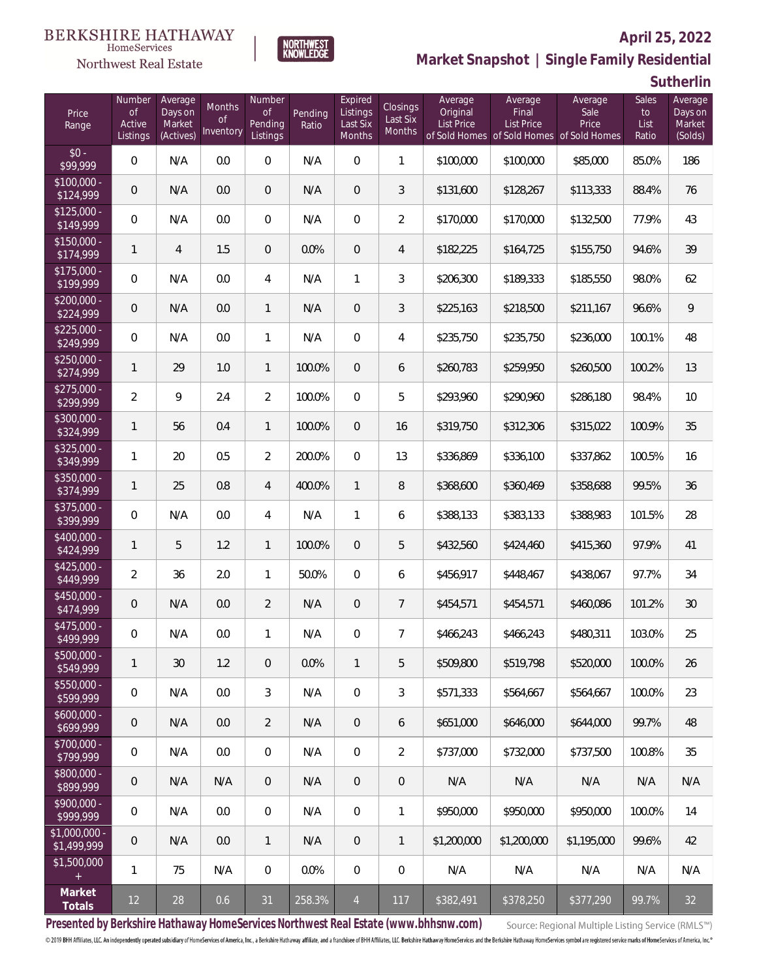#### **BERKSHIRE HATHAWAY**  $\label{lem:sevices} \textsc{Home} \textsc{Service} \textsc{s}$

### Northwest Real Estate



### **April 25, 2022 Market Snapshot | Single Family Residential**

**Sutherlin**

| Price<br>Range                | Number<br><b>of</b><br>Active<br>Listings | Average<br>Days on<br>Market<br>(Actives) | Months<br>Οf<br>Inventory | Number<br><b>of</b><br>Pending<br>Listings | Pending<br>Ratio | Expired<br>Listings<br>Last Six<br>Months | Closings<br>Last Six<br>Months | Average<br>Original<br>List Price | Average<br>Final<br>List Price<br>of Sold Homes of Sold Homes of Sold Homes | Average<br>Sale<br>Price | Sales<br>to<br>List<br>Ratio | Average<br>Days on<br>Market<br>(Solds) |
|-------------------------------|-------------------------------------------|-------------------------------------------|---------------------------|--------------------------------------------|------------------|-------------------------------------------|--------------------------------|-----------------------------------|-----------------------------------------------------------------------------|--------------------------|------------------------------|-----------------------------------------|
| $$0 -$<br>$\sqrt{$99.999}$    | $\overline{0}$                            | N/A                                       | 0.0                       | $\overline{0}$                             | N/A              | $\overline{0}$                            | 1                              | \$100,000                         | \$100,000                                                                   | \$85,000                 | 85.0%                        | 186                                     |
| $$100,000 -$<br>\$124,999     | $\overline{0}$                            | N/A                                       | 0.0                       | $\overline{0}$                             | N/A              | $\overline{0}$                            | 3                              | \$131,600                         | \$128,267                                                                   | \$113,333                | 88.4%                        | 76                                      |
| $$125,000 -$<br>\$149,999     | 0                                         | N/A                                       | 0.0                       | $\overline{0}$                             | N/A              | $\overline{0}$                            | $\overline{2}$                 | \$170,000                         | \$170,000                                                                   | \$132,500                | 77.9%                        | 43                                      |
| $$150,000 -$<br>\$174,999     | 1                                         | $\overline{4}$                            | 1.5                       | $\overline{0}$                             | 0.0%             | $\overline{0}$                            | $\overline{4}$                 | \$182,225                         | \$164,725                                                                   | \$155,750                | 94.6%                        | 39                                      |
| $$175,000 -$<br>\$199,999     | 0                                         | N/A                                       | 0.0                       | 4                                          | N/A              | 1                                         | 3                              | \$206,300                         | \$189,333                                                                   | \$185,550                | 98.0%                        | 62                                      |
| $$200,000 -$<br>\$224,999     | $\overline{0}$                            | N/A                                       | 0.0                       | $\mathbf{1}$                               | N/A              | $\overline{0}$                            | 3                              | \$225,163                         | \$218,500                                                                   | \$211,167                | 96.6%                        | 9                                       |
| $$225,000 -$<br>\$249,999     | 0                                         | N/A                                       | 0.0                       | $\mathbf{1}$                               | N/A              | $\overline{0}$                            | 4                              | \$235,750                         | \$235,750                                                                   | \$236,000                | 100.1%                       | 48                                      |
| $$250,000 -$<br>\$274,999     | 1                                         | 29                                        | 1.0                       | $\mathbf{1}$                               | 100.0%           | $\overline{0}$                            | 6                              | \$260,783                         | \$259,950                                                                   | \$260,500                | 100.2%                       | 13                                      |
| $$275,000 -$<br>\$299,999     | $\overline{2}$                            | 9                                         | 2.4                       | $\overline{2}$                             | 100.0%           | $\overline{0}$                            | 5                              | \$293,960                         | \$290,960                                                                   | \$286,180                | 98.4%                        | 10                                      |
| \$300,000 -<br>\$324,999      | 1                                         | 56                                        | 0.4                       | $\mathbf{1}$                               | 100.0%           | $\overline{0}$                            | 16                             | \$319,750                         | \$312,306                                                                   | \$315,022                | 100.9%                       | 35                                      |
| \$325,000 -<br>\$349,999      | 1                                         | 20                                        | 0.5                       | $\overline{2}$                             | 200.0%           | $\overline{0}$                            | 13                             | \$336,869                         | \$336,100                                                                   | \$337,862                | 100.5%                       | 16                                      |
| $$350,000 -$<br>\$374,999     | 1                                         | 25                                        | 0.8                       | $\overline{4}$                             | 400.0%           | $\mathbf{1}$                              | 8                              | \$368,600                         | \$360,469                                                                   | \$358,688                | 99.5%                        | 36                                      |
| $$375,000 -$<br>\$399,999     | 0                                         | N/A                                       | 0.0                       | 4                                          | N/A              | 1                                         | 6                              | \$388,133                         | \$383,133                                                                   | \$388,983                | 101.5%                       | 28                                      |
| \$400,000 -<br>\$424,999      | 1                                         | 5                                         | 1.2                       | $\mathbf{1}$                               | 100.0%           | $\overline{0}$                            | 5                              | \$432,560                         | \$424,460                                                                   | \$415,360                | 97.9%                        | 41                                      |
| $$425,000 -$<br>\$449,999     | $\overline{2}$                            | 36                                        | 2.0                       | $\mathbf{1}$                               | 50.0%            | $\overline{0}$                            | 6                              | \$456,917                         | \$448,467                                                                   | \$438,067                | 97.7%                        | 34                                      |
| $$450,000 -$<br>\$474,999     | $\overline{0}$                            | N/A                                       | 0.0                       | $\overline{2}$                             | N/A              | $\overline{0}$                            | $\overline{7}$                 | \$454,571                         | \$454,571                                                                   | \$460,086                | 101.2%                       | 30                                      |
| \$475,000 -<br>\$499,999      | $\boldsymbol{0}$                          | N/A                                       | $0.0\,$                   | $\mathbf{1}$                               | N/A              | $\overline{0}$                            | 7                              | \$466,243                         | \$466,243                                                                   | \$480,311                | 103.0%                       | 25                                      |
| $$500,000 -$<br>\$549,999     | 1                                         | 30                                        | 1.2                       | $\theta$                                   | 0.0%             | $\mathbf{1}$                              | 5                              | \$509,800                         | \$519.798                                                                   | \$520,000                | 100.0%                       | 26                                      |
| $$550,000 -$<br>\$599,999     | 0                                         | N/A                                       | 0.0                       | 3                                          | N/A              | $\mathbf 0$                               | 3                              | \$571,333                         | \$564,667                                                                   | \$564,667                | 100.0%                       | 23                                      |
| $$600,000 -$<br>\$699,999     | $\mathbf 0$                               | N/A                                       | 0.0                       | $\overline{2}$                             | N/A              | $\theta$                                  | 6                              | \$651,000                         | \$646,000                                                                   | \$644,000                | 99.7%                        | 48                                      |
| \$700,000 -<br>\$799,999      | 0                                         | N/A                                       | 0.0                       | $\mathbf 0$                                | N/A              | $\mathbf 0$                               | $\overline{2}$                 | \$737,000                         | \$732,000                                                                   | \$737,500                | 100.8%                       | 35                                      |
| \$800,000 -<br>\$899,999      | $\mathbf 0$                               | N/A                                       | N/A                       | $\overline{0}$                             | N/A              | $\theta$                                  | $\mathbf 0$                    | N/A                               | N/A                                                                         | N/A                      | N/A                          | N/A                                     |
| \$900,000 -<br>\$999,999      | $\boldsymbol{0}$                          | N/A                                       | 0.0                       | $\mathbf 0$                                | N/A              | $\mathbf 0$                               | $\mathbf{1}$                   | \$950,000                         | \$950,000                                                                   | \$950,000                | 100.0%                       | 14                                      |
| $$1,000,000 -$<br>\$1,499,999 | $\mathbf 0$                               | N/A                                       | 0.0                       | $\mathbf{1}$                               | N/A              | $\theta$                                  | $\mathbf{1}$                   | \$1,200,000                       | \$1,200,000                                                                 | \$1,195,000              | 99.6%                        | 42                                      |
| \$1,500,000<br>$+$            | 1                                         | 75                                        | N/A                       | $\overline{0}$                             | 0.0%             | $\mathbf 0$                               | $\mathbf 0$                    | N/A                               | N/A                                                                         | N/A                      | N/A                          | N/A                                     |
| Market<br>Totals              | 12                                        | 28                                        | 0.6                       | 31                                         | 258.3%           | $\overline{4}$                            | 117                            | \$382,491                         | \$378,250                                                                   | \$377,290                | 99.7%                        | 32                                      |

**Presented by Berkshire Hathaway HomeServices Northwest Real Estate (www.bhhsnw.com)**

Source: Regional Multiple Listing Service (RMLS™)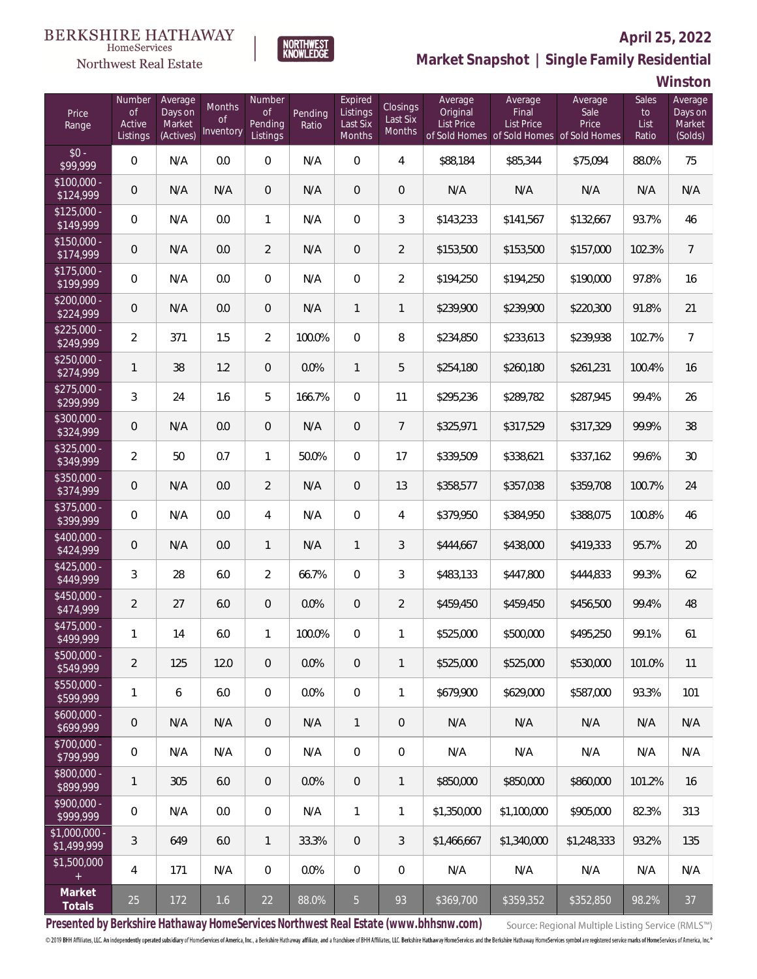### Northwest Real Estate



### **April 25, 2022 Market Snapshot | Single Family Residential**

**Winston**

| Price<br>Range               | Number<br><b>of</b><br>Active<br>Listings | Average<br>Days on<br>Market<br>(Actives) | Months<br>Οf<br>Inventory | Number<br>0f<br>Pending<br>Listings | Pending<br>Ratio | Expired<br>Listings<br>Last Six<br>Months | Closings<br>Last Six<br>Months | Average<br>Original<br><b>List Price</b> | Average<br>Final<br><b>List Price</b><br>of Sold Homes of Sold Homes of Sold Homes | Average<br>Sale<br>Price | Sales<br>to<br>List<br>Ratio | Average<br>Days on<br>Market<br>(Solds) |
|------------------------------|-------------------------------------------|-------------------------------------------|---------------------------|-------------------------------------|------------------|-------------------------------------------|--------------------------------|------------------------------------------|------------------------------------------------------------------------------------|--------------------------|------------------------------|-----------------------------------------|
| $$0 -$<br>\$99,999           | $\overline{0}$                            | N/A                                       | 0.0                       | $\Omega$                            | N/A              | $\Omega$                                  | $\overline{4}$                 | \$88,184                                 | \$85,344                                                                           | \$75,094                 | 88.0%                        | 75                                      |
| $$100,000 -$<br>\$124,999    | $\overline{0}$                            | N/A                                       | N/A                       | $\overline{0}$                      | N/A              | $\overline{0}$                            | $\overline{0}$                 | N/A                                      | N/A                                                                                | N/A                      | N/A                          | N/A                                     |
| $$125,000 -$<br>\$149,999    | $\overline{0}$                            | N/A                                       | 0.0                       | $\mathbf{1}$                        | N/A              | $\overline{0}$                            | 3                              | \$143,233                                | \$141,567                                                                          | \$132,667                | 93.7%                        | 46                                      |
| $$150,000 -$<br>\$174,999    | $\overline{0}$                            | N/A                                       | 0.0                       | $\overline{2}$                      | N/A              | $\overline{0}$                            | $\overline{2}$                 | \$153,500                                | \$153,500                                                                          | \$157,000                | 102.3%                       | $\overline{7}$                          |
| $$175,000 -$<br>\$199,999    | 0                                         | N/A                                       | 0.0                       | $\overline{0}$                      | N/A              | $\overline{0}$                            | $\overline{2}$                 | \$194,250                                | \$194,250                                                                          | \$190,000                | 97.8%                        | 16                                      |
| $$200,000 -$<br>\$224,999    | $\overline{0}$                            | N/A                                       | 0.0                       | $\overline{0}$                      | N/A              | $\mathbf{1}$                              | $\mathbf{1}$                   | \$239,900                                | \$239,900                                                                          | \$220,300                | 91.8%                        | 21                                      |
| $$225,000 -$<br>\$249,999    | $\overline{2}$                            | 371                                       | 1.5                       | $\overline{2}$                      | 100.0%           | $\overline{0}$                            | 8                              | \$234,850                                | \$233,613                                                                          | \$239,938                | 102.7%                       | $\overline{7}$                          |
| $$250,000 -$<br>\$274,999    | 1                                         | 38                                        | 1.2                       | $\overline{0}$                      | 0.0%             | $\mathbf{1}$                              | 5                              | \$254,180                                | \$260,180                                                                          | \$261,231                | 100.4%                       | 16                                      |
| $$275,000 -$<br>\$299,999    | 3                                         | 24                                        | 1.6                       | 5                                   | 166.7%           | $\overline{0}$                            | 11                             | \$295,236                                | \$289,782                                                                          | \$287,945                | 99.4%                        | 26                                      |
| $$300,000 -$<br>\$324,999    | $\theta$                                  | N/A                                       | 0.0                       | $\overline{0}$                      | N/A              | $\overline{0}$                            | $\overline{7}$                 | \$325,971                                | \$317,529                                                                          | \$317,329                | 99.9%                        | 38                                      |
| $$325,000 -$<br>\$349,999    | $\overline{2}$                            | 50                                        | 0.7                       | $\mathbf{1}$                        | 50.0%            | $\Omega$                                  | 17                             | \$339,509                                | \$338,621                                                                          | \$337,162                | 99.6%                        | 30                                      |
| $$350,000 -$<br>\$374,999    | $\overline{0}$                            | N/A                                       | 0.0                       | $\overline{2}$                      | N/A              | $\overline{0}$                            | 13                             | \$358,577                                | \$357,038                                                                          | \$359,708                | 100.7%                       | 24                                      |
| $$375,000 -$<br>\$399,999    | $\overline{0}$                            | N/A                                       | 0.0                       | $\overline{4}$                      | N/A              | $\overline{0}$                            | $\overline{4}$                 | \$379,950                                | \$384,950                                                                          | \$388,075                | 100.8%                       | 46                                      |
| $$400,000 -$<br>\$424,999    | $\overline{0}$                            | N/A                                       | 0.0                       | $\mathbf{1}$                        | N/A              | $\mathbf{1}$                              | $\mathfrak{Z}$                 | \$444,667                                | \$438,000                                                                          | \$419,333                | 95.7%                        | 20                                      |
| $$425,000 -$<br>\$449,999    | 3                                         | 28                                        | 6.0                       | $\overline{2}$                      | 66.7%            | $\Omega$                                  | $\mathfrak{Z}$                 | \$483,133                                | \$447,800                                                                          | \$444,833                | 99.3%                        | 62                                      |
| $$450,000 -$<br>\$474,999    | $\overline{2}$                            | 27                                        | 6.0                       | $\overline{0}$                      | 0.0%             | $\overline{0}$                            | $\overline{2}$                 | \$459,450                                | \$459,450                                                                          | \$456,500                | 99.4%                        | 48                                      |
| $$475,000 -$<br>\$499,999    | 1                                         | 14                                        | 6.0                       | $\mathbf{1}$                        | 100.0%           | $\overline{0}$                            | 1                              | \$525,000                                | \$500,000                                                                          | \$495,250                | 99.1%                        | 61                                      |
| $$500,000 -$<br>\$549,999    | $\overline{2}$                            | 125                                       | 12.0                      | $\overline{0}$                      | 0.0%             | $\mathbf 0$                               | $\mathbf{1}$                   | \$525,000                                | \$525,000                                                                          | \$530,000                | 101.0%                       | 11                                      |
| $$550,000 -$<br>\$599,999    | 1                                         | 6                                         | 6.0                       | $\mathbf 0$                         | 0.0%             | $\mathbf 0$                               | 1                              | \$679,900                                | \$629,000                                                                          | \$587,000                | 93.3%                        | 101                                     |
| $$600,000 -$<br>\$699,999    | $\mathbf 0$                               | N/A                                       | N/A                       | $\overline{0}$                      | N/A              | $\mathbf{1}$                              | $\mathbf 0$                    | N/A                                      | N/A                                                                                | N/A                      | N/A                          | N/A                                     |
| $$700,000 -$<br>\$799,999    | $\,0\,$                                   | N/A                                       | N/A                       | $\mathbf 0$                         | N/A              | $\mathbf 0$                               | $\mathbf 0$                    | N/A                                      | N/A                                                                                | N/A                      | N/A                          | N/A                                     |
| \$800,000 -<br>\$899,999     | 1                                         | 305                                       | 6.0                       | $\overline{0}$                      | 0.0%             | 0                                         | 1                              | \$850,000                                | \$850,000                                                                          | \$860,000                | 101.2%                       | 16                                      |
| $$900,000 -$<br>\$999,999    | $\,0\,$                                   | N/A                                       | 0.0                       | $\mathbf 0$                         | N/A              | $\mathbf{1}$                              | $\mathbf{1}$                   | \$1,350,000                              | \$1,100,000                                                                        | \$905,000                | 82.3%                        | 313                                     |
| \$1,000,000 -<br>\$1,499,999 | $\mathfrak{Z}$                            | 649                                       | 6.0                       | $\overline{1}$                      | 33.3%            | $\overline{0}$                            | $\mathfrak{Z}$                 | \$1,466,667                              | \$1,340,000                                                                        | \$1,248,333              | 93.2%                        | 135                                     |
| \$1,500,000<br>$\pm$         | 4                                         | 171                                       | N/A                       | $\mathbf 0$                         | 0.0%             | $\mathbf 0$                               | $\mathbf 0$                    | N/A                                      | N/A                                                                                | N/A                      | N/A                          | N/A                                     |
| Market<br>Totals             | 25                                        | 172                                       | 1.6                       | 22                                  | 88.0%            | $5\phantom{.}$                            | 93                             | \$369,700                                | \$359,352                                                                          | \$352,850                | 98.2%                        | 37                                      |

**Presented by Berkshire Hathaway HomeServices Northwest Real Estate (www.bhhsnw.com)**

Source: Regional Multiple Listing Service (RMLS™)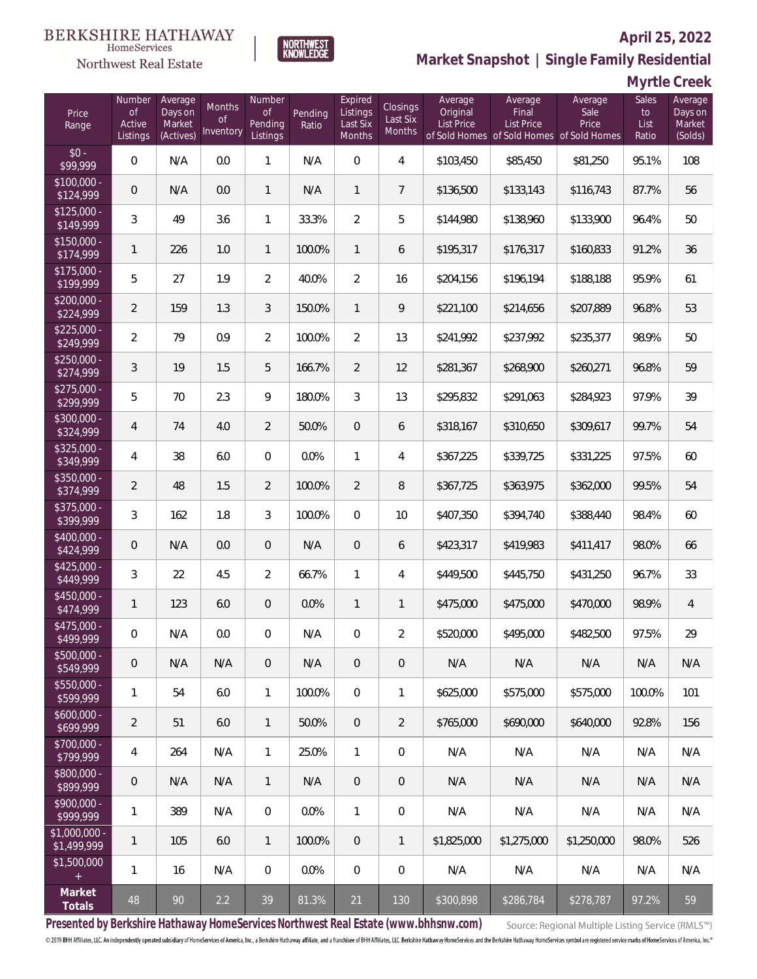

### **April 25, 2022**

**Market Snapshot | Single Family Residential**

### **Myrtle Creek**

| Price<br>Range                   | Number<br><b>of</b><br>Active<br>Listings | Average<br>Days on<br>Market<br>(Actives) | Months<br>Οf<br>Inventory | Number<br>of<br>Pending<br>Listings | Pending<br>Ratio | Expired<br>Listings<br>Last Six<br>Months | <b>Closings</b><br>Last Six<br>Months | Average<br>Original<br><b>List Price</b> | Average<br>Final<br>List Price<br>of Sold Homes of Sold Homes of Sold Homes | Average<br>Sale<br>Price | Sales<br>to<br>List<br>Ratio | Average<br>Days on<br>Market<br>(Solds) |
|----------------------------------|-------------------------------------------|-------------------------------------------|---------------------------|-------------------------------------|------------------|-------------------------------------------|---------------------------------------|------------------------------------------|-----------------------------------------------------------------------------|--------------------------|------------------------------|-----------------------------------------|
| $$0 -$<br>$\sqrt{$99.999}$       | 0                                         | N/A                                       | 0.0                       | 1                                   | N/A              | $\Omega$                                  | $\overline{4}$                        | \$103,450                                | \$85,450                                                                    | \$81,250                 | 95.1%                        | 108                                     |
| $$100,000 -$<br>\$124,999        | $\overline{0}$                            | N/A                                       | 0.0                       | 1                                   | N/A              | $\mathbf{1}$                              | $\overline{7}$                        | \$136,500                                | \$133,143                                                                   | \$116,743                | 87.7%                        | 56                                      |
| $$125,000 -$<br>\$149,999        | 3                                         | 49                                        | 3.6                       | 1                                   | 33.3%            | $\overline{2}$                            | 5                                     | \$144,980                                | \$138,960                                                                   | \$133,900                | 96.4%                        | 50                                      |
| $$150,000 -$<br>\$174,999        | $\mathbf{1}$                              | 226                                       | 1.0                       | 1                                   | 100.0%           | $\mathbf{1}$                              | 6                                     | \$195,317                                | \$176,317                                                                   | \$160,833                | 91.2%                        | 36                                      |
| $$175,000 -$<br>$\sqrt{199.999}$ | 5                                         | 27                                        | 1.9                       | $\overline{2}$                      | 40.0%            | $\overline{2}$                            | 16                                    | \$204,156                                | \$196,194                                                                   | \$188,188                | 95.9%                        | 61                                      |
| $$200,000 -$<br>\$224,999        | $\overline{2}$                            | 159                                       | 1.3                       | 3                                   | 150.0%           | $\mathbf{1}$                              | 9                                     | \$221,100                                | \$214,656                                                                   | \$207,889                | 96.8%                        | 53                                      |
| $$225,000 -$<br>\$249,999        | $\overline{2}$                            | 79                                        | 0.9                       | $\overline{2}$                      | 100.0%           | $\overline{2}$                            | 13                                    | \$241,992                                | \$237,992                                                                   | \$235,377                | 98.9%                        | 50                                      |
| $$250,000 -$<br>\$274,999        | 3                                         | 19                                        | 1.5                       | 5                                   | 166.7%           | $\overline{2}$                            | 12                                    | \$281,367                                | \$268,900                                                                   | \$260,271                | 96.8%                        | 59                                      |
| $$275,000 -$<br>\$299,999        | 5                                         | 70                                        | 2.3                       | 9                                   | 180.0%           | 3                                         | 13                                    | \$295,832                                | \$291,063                                                                   | \$284,923                | 97.9%                        | 39                                      |
| $$300,000 -$<br>\$324,999        | $\overline{4}$                            | 74                                        | 4.0                       | $\overline{2}$                      | 50.0%            | $\overline{0}$                            | 6                                     | \$318,167                                | \$310,650                                                                   | \$309,617                | 99.7%                        | 54                                      |
| \$325,000 -<br>\$349,999         | 4                                         | 38                                        | 6.0                       | $\overline{0}$                      | 0.0%             | $\mathbf{1}$                              | 4                                     | \$367,225                                | \$339,725                                                                   | \$331,225                | 97.5%                        | 60                                      |
| $$350,000 -$<br>\$374,999        | $\overline{2}$                            | 48                                        | 1.5                       | $\overline{2}$                      | 100.0%           | $\overline{2}$                            | $\, 8$                                | \$367,725                                | \$363,975                                                                   | \$362,000                | 99.5%                        | 54                                      |
| $$375,000 -$<br>\$399,999        | 3                                         | 162                                       | 1.8                       | 3                                   | 100.0%           | $\overline{0}$                            | 10                                    | \$407,350                                | \$394,740                                                                   | \$388,440                | 98.4%                        | 60                                      |
| \$400,000 -<br>\$424,999         | 0                                         | N/A                                       | 0.0                       | $\overline{0}$                      | N/A              | $\overline{0}$                            | 6                                     | \$423,317                                | \$419,983                                                                   | \$411,417                | 98.0%                        | 66                                      |
| $$425,000 -$<br>\$449,999        | 3                                         | 22                                        | 4.5                       | $\overline{2}$                      | 66.7%            | $\mathbf{1}$                              | 4                                     | \$449,500                                | \$445,750                                                                   | \$431,250                | 96.7%                        | 33                                      |
| $$450,000 -$<br>\$474,999        | 1                                         | 123                                       | 6.0                       | $\overline{0}$                      | 0.0%             | $\overline{1}$                            | 1                                     | \$475,000                                | \$475,000                                                                   | \$470,000                | 98.9%                        | $\overline{4}$                          |
| $$475,000 -$<br>\$499,999        | $\boldsymbol{0}$                          | N/A                                       | $0.0\,$                   | 0                                   | N/A              | $\overline{0}$                            | $\overline{2}$                        | \$520,000                                | \$495,000                                                                   | \$482,500                | 97.5%                        | 29                                      |
| $$500,000 -$<br>\$549,999        | 0                                         | N/A                                       | N/A                       | $\overline{0}$                      | N/A              | $\overline{0}$                            | $\overline{0}$                        | N/A                                      | N/A                                                                         | N/A                      | N/A                          | N/A                                     |
| $$550,000 -$<br>\$599,999        | 1                                         | 54                                        | 6.0                       | $\mathbf{1}$                        | 100.0%           | $\overline{0}$                            | $\mathbf{1}$                          | \$625,000                                | \$575,000                                                                   | \$575,000                | 100.0%                       | 101                                     |
| $$600,000 -$<br>\$699,999        | $\overline{2}$                            | 51                                        | 6.0                       | $\mathbf{1}$                        | 50.0%            | $\overline{0}$                            | $\overline{2}$                        | \$765,000                                | \$690,000                                                                   | \$640,000                | 92.8%                        | 156                                     |
| \$700,000 -<br>\$799,999         | 4                                         | 264                                       | N/A                       | $\mathbf{1}$                        | 25.0%            | $\mathbf{1}$                              | $\mathbf 0$                           | N/A                                      | N/A                                                                         | N/A                      | N/A                          | N/A                                     |
| \$800,000 -<br>\$899,999         | $\mathsf{O}\xspace$                       | N/A                                       | N/A                       | $\mathbf{1}$                        | N/A              | $\mathbf{0}$                              | $\overline{0}$                        | N/A                                      | N/A                                                                         | N/A                      | N/A                          | N/A                                     |
| \$900,000 -<br>\$999,999         | 1                                         | 389                                       | N/A                       | $\overline{0}$                      | 0.0%             | $\mathbf{1}$                              | $\mathbf 0$                           | N/A                                      | N/A                                                                         | N/A                      | N/A                          | N/A                                     |
| $$1,000,000 -$<br>\$1,499,999    | 1                                         | 105                                       | 6.0                       | $\mathbf{1}$                        | 100.0%           | $\overline{0}$                            | $\mathbf{1}$                          | \$1,825,000                              | \$1,275,000                                                                 | \$1,250,000              | 98.0%                        | 526                                     |
| \$1,500,000<br>$+$               | 1                                         | 16                                        | N/A                       | $\overline{0}$                      | 0.0%             | $\boldsymbol{0}$                          | 0                                     | N/A                                      | N/A                                                                         | N/A                      | N/A                          | N/A                                     |
| Market<br>Totals                 | 48                                        | 90                                        | 2.2                       | 39                                  | 81.3%            | 21                                        | 130                                   | \$300,898                                | \$286,784                                                                   | \$278,787                | 97.2%                        | 59                                      |

**NORTHWEST**<br>KNOWLEDGE

**Presented by Berkshire Hathaway HomeServices Northwest Real Estate (www.bhhsnw.com)**

Source: Regional Multiple Listing Service (RMLS™)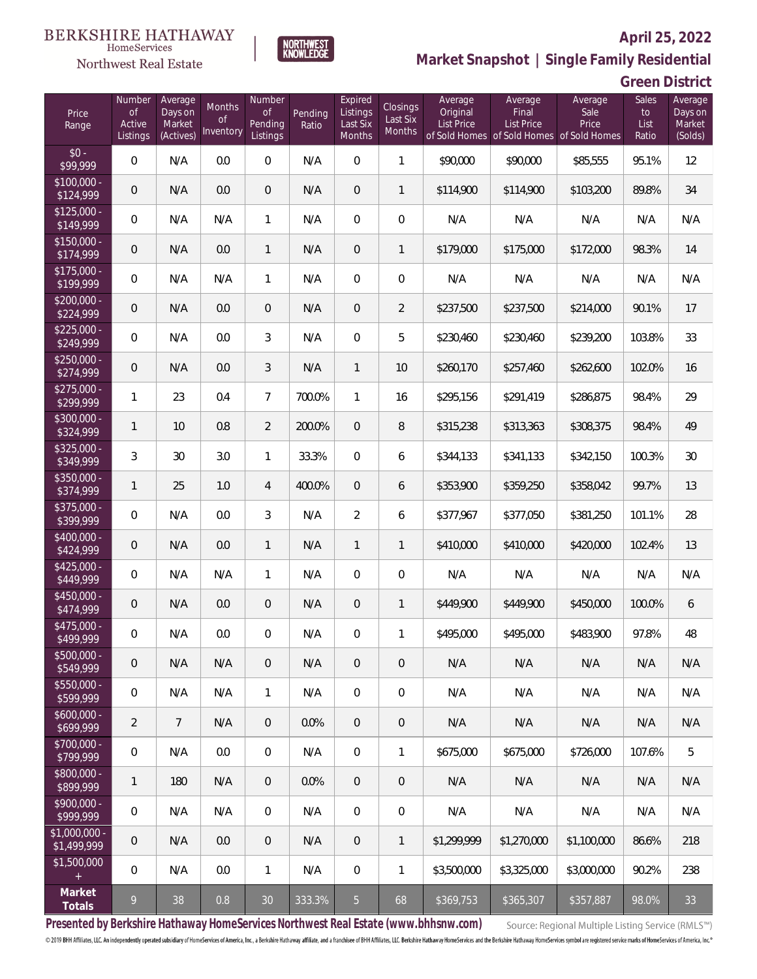

**NORTHWEST**<br>KNOWLEDGE

Northwest Real Estate

# **Market Snapshot | Single Family Residential**

| Green District |  |
|----------------|--|
|                |  |

| Price<br>Range                | Number<br><b>of</b><br>Active<br>Listings | Average<br>Days on<br>Market<br>(Actives) | Months<br>Οf<br>Inventory | Number<br><b>of</b><br>Pending<br>Listings | Pending<br>Ratio | Expired<br>Listings<br>Last Six<br>Months | Closings<br>Last Six<br>Months | Average<br>Original<br>List Price | Average<br>Final<br>List Price<br>of Sold Homes of Sold Homes of Sold Homes | Average<br>Sale<br>Price | Sales<br>to<br>List<br>Ratio | Average<br>Days on<br>Market<br>(Solds) |
|-------------------------------|-------------------------------------------|-------------------------------------------|---------------------------|--------------------------------------------|------------------|-------------------------------------------|--------------------------------|-----------------------------------|-----------------------------------------------------------------------------|--------------------------|------------------------------|-----------------------------------------|
| $$0 -$<br>\$99,999            | $\overline{0}$                            | N/A                                       | 0.0                       | $\overline{0}$                             | N/A              | $\overline{0}$                            | 1                              | \$90,000                          | \$90,000                                                                    | \$85,555                 | 95.1%                        | 12                                      |
| \$100,000 -<br>\$124,999      | $\overline{0}$                            | N/A                                       | 0.0                       | $\overline{0}$                             | N/A              | $\overline{0}$                            | 1                              | \$114,900                         | \$114,900                                                                   | \$103,200                | 89.8%                        | 34                                      |
| $$125,000 -$<br>\$149,999     | 0                                         | N/A                                       | N/A                       | $\mathbf{1}$                               | N/A              | $\overline{0}$                            | $\overline{0}$                 | N/A                               | N/A                                                                         | N/A                      | N/A                          | N/A                                     |
| $$150,000 -$<br>\$174,999     | $\overline{0}$                            | N/A                                       | 0.0                       | $\mathbf{1}$                               | N/A              | $\overline{0}$                            | 1                              | \$179,000                         | \$175,000                                                                   | \$172,000                | 98.3%                        | 14                                      |
| $$175,000 -$<br>\$199,999     | 0                                         | N/A                                       | N/A                       | $\mathbf{1}$                               | N/A              | $\overline{0}$                            | $\overline{0}$                 | N/A                               | N/A                                                                         | N/A                      | N/A                          | N/A                                     |
| $$200,000 -$<br>\$224,999     | $\overline{0}$                            | N/A                                       | 0.0                       | $\overline{0}$                             | N/A              | $\overline{0}$                            | $\overline{2}$                 | \$237,500                         | \$237,500                                                                   | \$214,000                | 90.1%                        | 17                                      |
| $$225,000 -$<br>\$249,999     | 0                                         | N/A                                       | 0.0                       | 3                                          | N/A              | $\overline{0}$                            | 5                              | \$230,460                         | \$230,460                                                                   | \$239,200                | 103.8%                       | 33                                      |
| $$250,000 -$<br>\$274,999     | $\overline{0}$                            | N/A                                       | 0.0                       | 3                                          | N/A              | $\mathbf{1}$                              | 10                             | \$260,170                         | \$257,460                                                                   | \$262,600                | 102.0%                       | 16                                      |
| $$275,000 -$<br>\$299,999     | 1                                         | 23                                        | 0.4                       | $7\overline{ }$                            | 700.0%           | $\mathbf{1}$                              | 16                             | \$295,156                         | \$291,419                                                                   | \$286,875                | 98.4%                        | 29                                      |
| \$300,000 -<br>\$324,999      | 1                                         | 10                                        | 0.8                       | $\overline{2}$                             | 200.0%           | $\overline{0}$                            | 8                              | \$315,238                         | \$313,363                                                                   | \$308,375                | 98.4%                        | 49                                      |
| \$325,000 -<br>\$349,999      | 3                                         | 30                                        | 3.0                       | $\mathbf{1}$                               | 33.3%            | $\overline{0}$                            | 6                              | \$344,133                         | \$341,133                                                                   | \$342,150                | 100.3%                       | 30                                      |
| $$350,000 -$<br>\$374,999     | 1                                         | 25                                        | 1.0                       | $\overline{4}$                             | 400.0%           | $\overline{0}$                            | 6                              | \$353,900                         | \$359,250                                                                   | \$358,042                | 99.7%                        | 13                                      |
| \$375,000 -<br>\$399,999      | 0                                         | N/A                                       | 0.0                       | 3                                          | N/A              | $\overline{2}$                            | 6                              | \$377,967                         | \$377,050                                                                   | \$381,250                | 101.1%                       | 28                                      |
| \$400,000 -<br>\$424,999      | $\mathbf 0$                               | N/A                                       | 0.0                       | $\mathbf{1}$                               | N/A              | $\mathbf{1}$                              | 1                              | \$410,000                         | \$410,000                                                                   | \$420,000                | 102.4%                       | 13                                      |
| $$425,000 -$<br>\$449,999     | 0                                         | N/A                                       | N/A                       | $\mathbf{1}$                               | N/A              | $\overline{0}$                            | $\mathbf 0$                    | N/A                               | N/A                                                                         | N/A                      | N/A                          | N/A                                     |
| $$450,000 -$<br>\$474,999     | $\overline{0}$                            | N/A                                       | 0.0                       | $\overline{0}$                             | N/A              | $\overline{0}$                            | 1                              | \$449,900                         | \$449,900                                                                   | \$450,000                | 100.0%                       | 6                                       |
| \$475,000 -<br>\$499,999      | $\boldsymbol{0}$                          | N/A                                       | $0.0\,$                   | 0                                          | N/A              | $\overline{0}$                            | 1                              | \$495,000                         | \$495,000                                                                   | \$483,900                | 97.8%                        | 48                                      |
| $$500,000 -$<br>\$549,999     | 0                                         | N/A                                       | N/A                       | $\theta$                                   | N/A              | $\theta$                                  | $\overline{0}$                 | N/A                               | N/A                                                                         | N/A                      | N/A                          | N/A                                     |
| $$550,000 -$<br>\$599,999     | 0                                         | N/A                                       | N/A                       | $\mathbf{1}$                               | N/A              | $\mathbf 0$                               | $\mathbf 0$                    | N/A                               | N/A                                                                         | N/A                      | N/A                          | N/A                                     |
| $$600,000 -$<br>\$699,999     | $\overline{2}$                            | $\overline{7}$                            | N/A                       | $\overline{0}$                             | 0.0%             | $\overline{0}$                            | $\mathbf 0$                    | N/A                               | N/A                                                                         | N/A                      | N/A                          | N/A                                     |
| \$700,000 -<br>\$799,999      | $\boldsymbol{0}$                          | N/A                                       | 0.0                       | $\mathbf 0$                                | N/A              | $\mathbf 0$                               | 1                              | \$675,000                         | \$675,000                                                                   | \$726,000                | 107.6%                       | 5                                       |
| \$800,000 -<br>\$899,999      | 1                                         | 180                                       | N/A                       | $\overline{0}$                             | 0.0%             | $\mathbf{0}$                              | $\sqrt{a}$                     | N/A                               | N/A                                                                         | N/A                      | N/A                          | N/A                                     |
| \$900,000 -<br>\$999,999      | 0                                         | N/A                                       | N/A                       | $\mathbf 0$                                | N/A              | $\boldsymbol{0}$                          | $\boldsymbol{0}$               | N/A                               | N/A                                                                         | N/A                      | N/A                          | N/A                                     |
| $$1,000,000 -$<br>\$1,499,999 | $\theta$                                  | N/A                                       | 0.0                       | $\overline{0}$                             | N/A              | $\overline{0}$                            | $\mathbf{1}$                   | \$1,299,999                       | \$1,270,000                                                                 | \$1,100,000              | 86.6%                        | 218                                     |
| \$1,500,000<br>$+$            | 0                                         | N/A                                       | 0.0                       | $\mathbf{1}$                               | N/A              | $\overline{0}$                            | $\mathbf{1}$                   | \$3,500,000                       | \$3,325,000                                                                 | \$3,000,000              | 90.2%                        | 238                                     |
| Market<br>Totals              | 9                                         | 38                                        | 0.8                       | $30\,$                                     | 333.3%           | $5\phantom{.}$                            | 68                             | \$369,753                         | \$365,307                                                                   | \$357,887                | 98.0%                        | 33                                      |

**Presented by Berkshire Hathaway HomeServices Northwest Real Estate (www.bhhsnw.com)**

Source: Regional Multiple Listing Service (RMLS™)